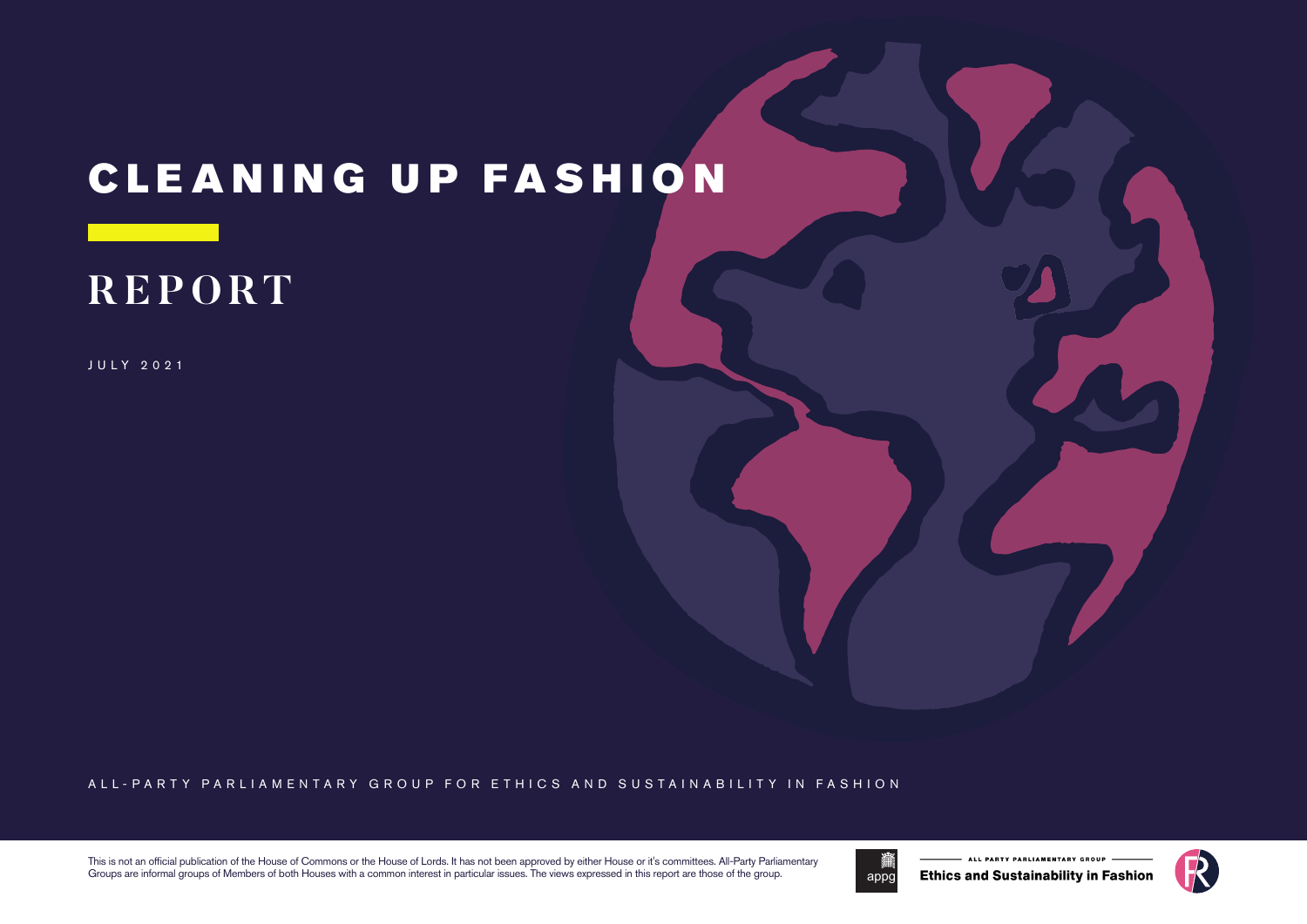# CLEANING UP FASHION

# **REPORT**

JULY 2021

#### ALL-PARTY PARLIAMENTARY GROUP FOR ETHICS AND SUSTAINABILITY IN FASHION

This is not an official publication of the House of Commons or the House of Lords. It has not been approved by either House or it's committees. All-Party Parliamentary Groups are informal groups of Members of both Houses with a common interest in particular issues. The views expressed in this report are those of the group.



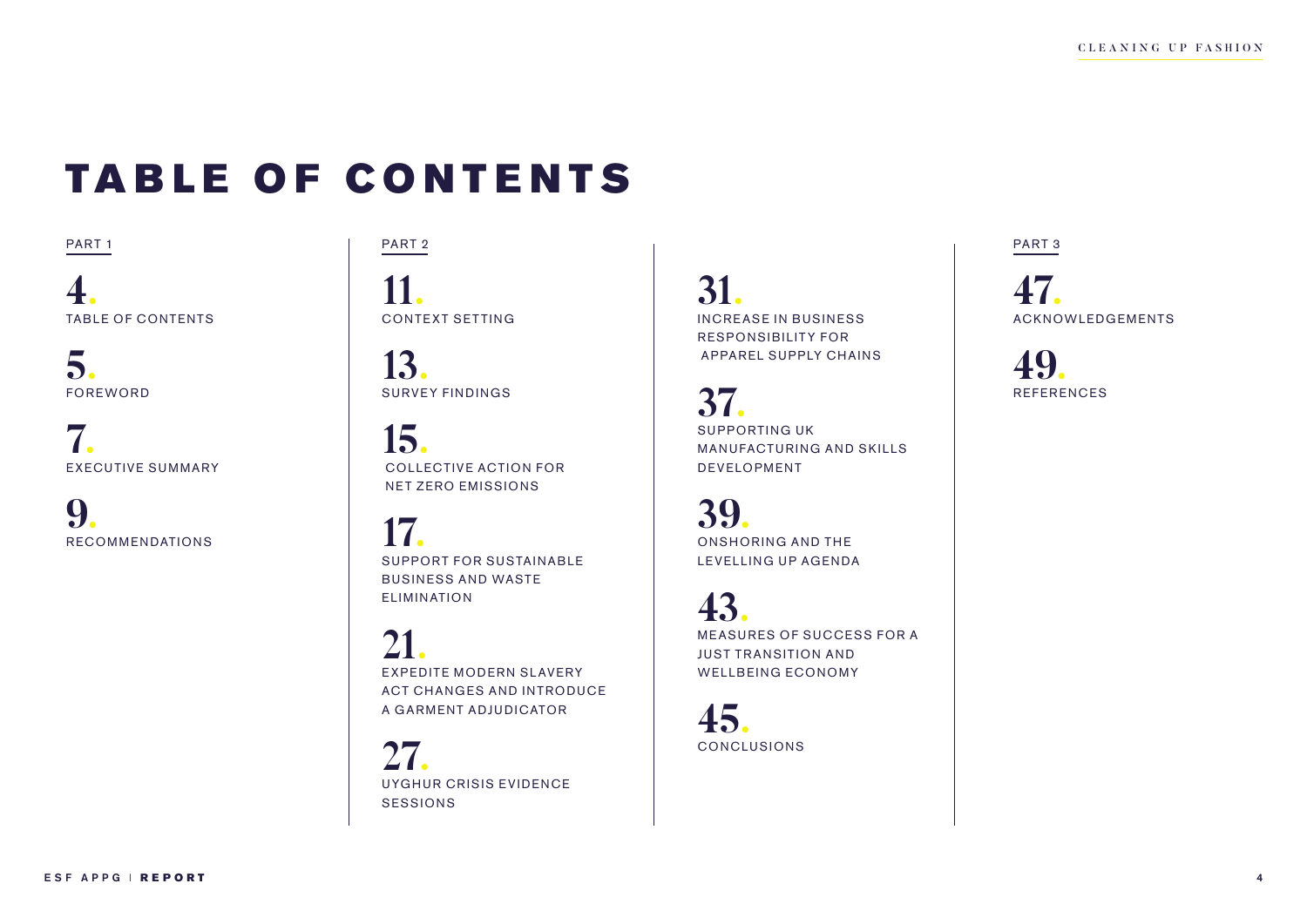# TABLE OF CONTENTS

PART 1

**4.** TABLE OF CONTENTS

**5.** FOREWORD

**7.** EXECUTIVE SUMMARY

**9**. RECOMMENDATIONS

PART 2

**11.** CONTEXT SETTING

**13.** SURVEY FINDINGS

**15.**<br>COLLECTIVE ACTION FOR NET ZERO EMISSIONS

**17.** SUPPORT FOR SUSTAINABLE BUSINESS AND WASTE ELIMINATION

21. **EXPEDITE MODERN SLAVERY** ACT CHANGES AND INTRODUCE A GARMENT ADJUDICATOR

27. UYGHUR CRISIS EVIDENCE SESSIONS

**31.** INCREASE IN BUSINESS RESPONSIBILITY FOR APPAREL SUPPLY CHAINS

**37.** SUPPORTING UK MANUFACTURING AND SKILLS DEVELOPMENT

**39.** ONSHORING AND THE LEVELLING UP AGENDA

**43.**<br>MEASURES OF SUCCESS FOR A JUST TR ANSITION AND WELLBEING ECONOMY

**45.**<br>CONCLUSIONS

PART 3

**47.** ACKNOWLEDGEMENTS

**49.** REFERENCES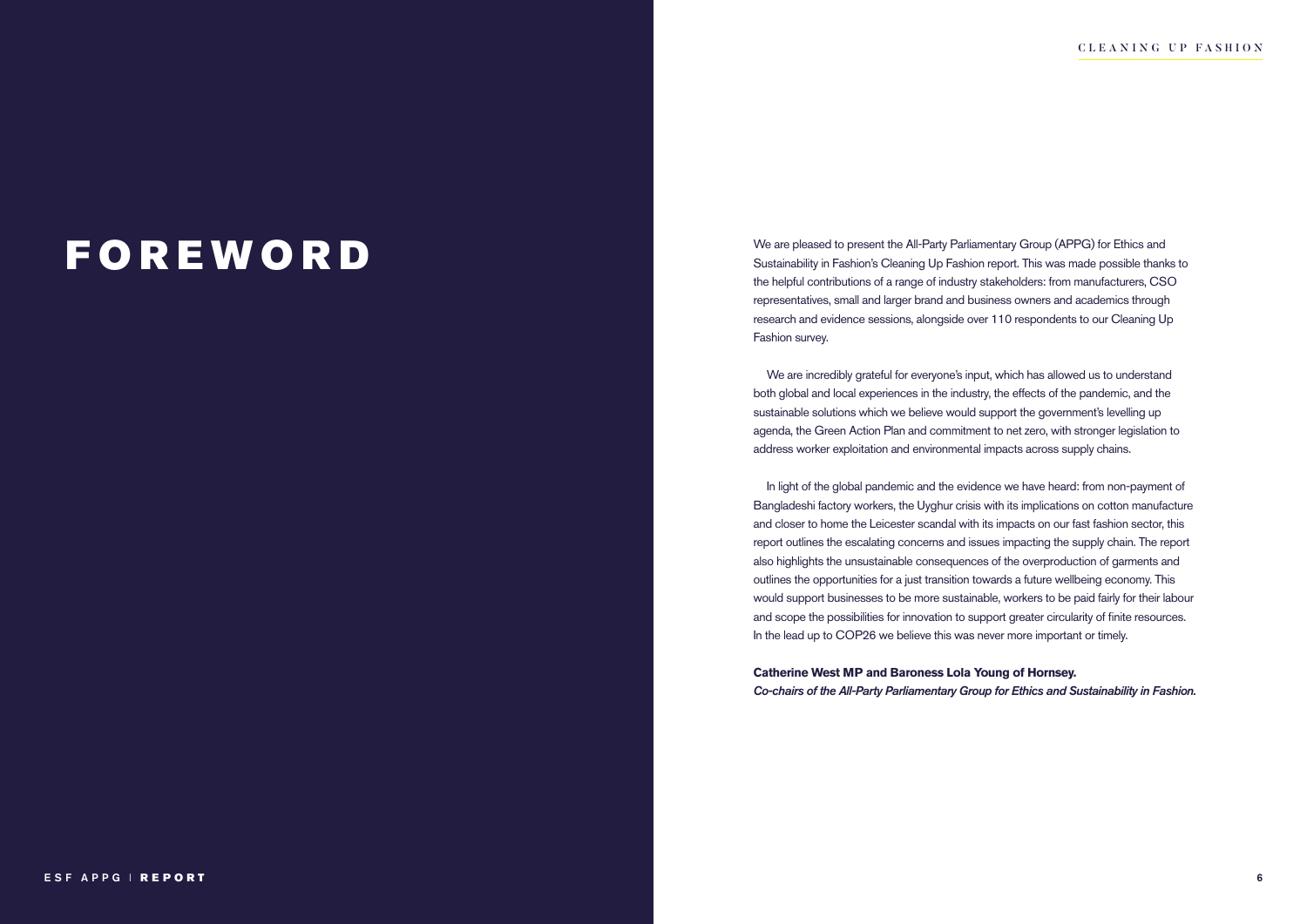### FOREWORD

We are pleased to present the All-Party Parliamentary Group (APPG) for Ethics and Sustainability in Fashion's Cleaning Up Fashion report. This was made possible thanks to the helpful contributions of a range of industry stakeholders: from manufacturers, CSO representatives, small and larger brand and business owners and academics through research and evidence sessions, alongside over 110 respondents to our Cleaning Up Fashion survey.

We are incredibly grateful for everyone's input, which has allowed us to understand both global and local experiences in the industry, the effects of the pandemic, and the sustainable solutions which we believe would support the government's levelling up agenda, the Green Action Plan and commitment to net zero, with stronger legislation to address worker exploitation and environmental impacts across supply chains.

In light of the global pandemic and the evidence we have heard: from non-payment of Bangladeshi factory workers, the Uyghur crisis with its implications on cotton manufacture and closer to home the Leicester scandal with its impacts on our fast fashion sector, this report outlines the escalating concerns and issues impacting the supply chain. The report also highlights the unsustainable consequences of the overproduction of garments and outlines the opportunities for a just transition towards a future wellbeing economy. This would support businesses to be more sustainable, workers to be paid fairly for their labour and scope the possibilities for innovation to support greater circularity of finite resources. In the lead up to COP26 we believe this was never more important or timely.

**Catherine West MP and Baroness Lola Young of Hornsey.** *Co-chairs of the All-Party Parliamentary Group for Ethics and Sustainability in Fashion.*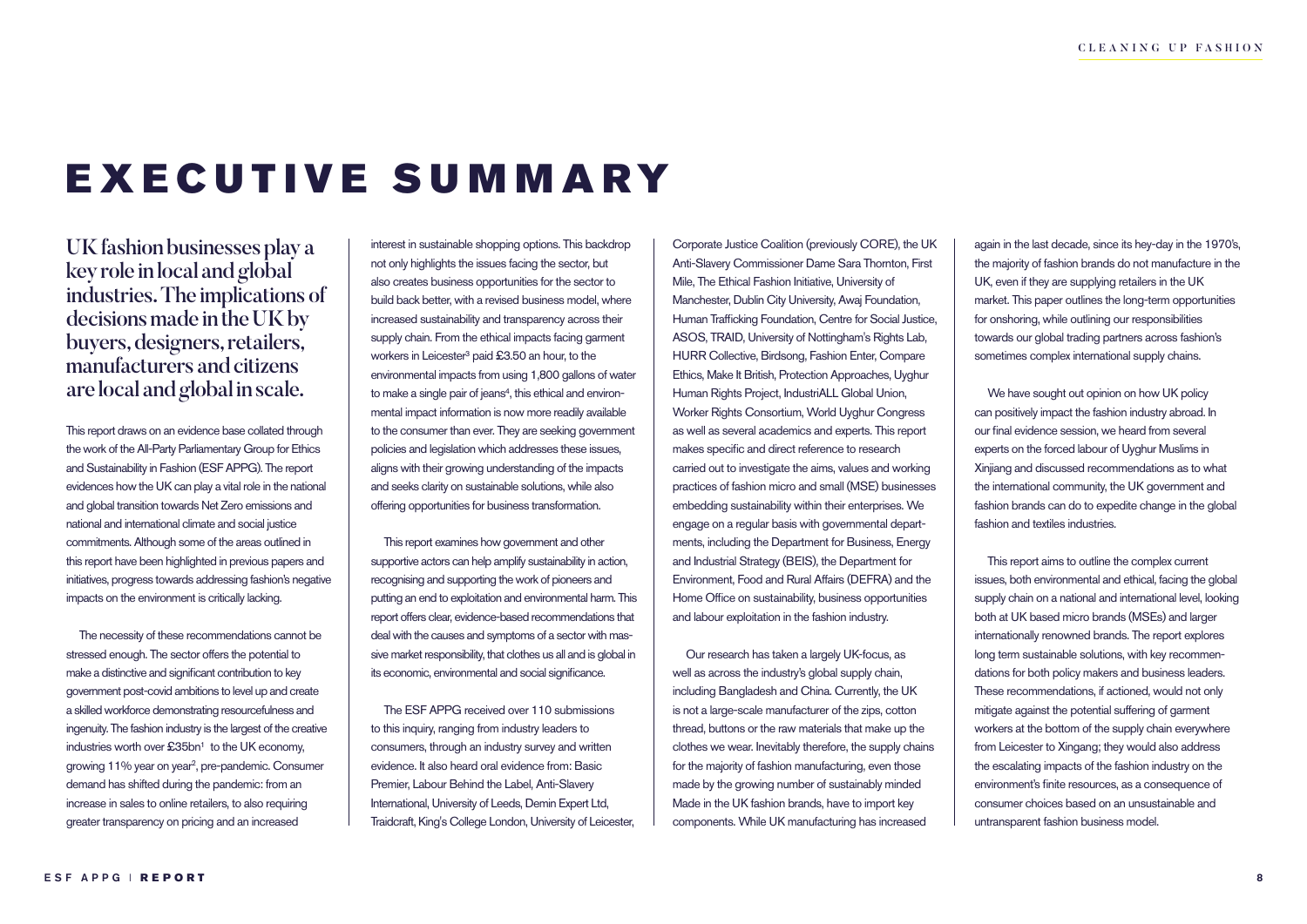# EXECUTIVE SUMMARY

UK fashion businesses play a key role in local and global industries. The implications of decisions made in the UK by buyers, designers, retailers, manufacturers and citizens are local and global in scale.

This report draws on an evidence base collated through the work of the All-Party Parliamentary Group for Ethics and Sustainability in Fashion (ESF APPG). The report evidences how the UK can play a vital role in the national and global transition towards Net Zero emissions and national and international climate and social justice commitments. Although some of the areas outlined in this report have been highlighted in previous papers and initiatives, progress towards addressing fashion's negative impacts on the environment is critically lacking.

The necessity of these recommendations cannot be stressed enough. The sector offers the potential to make a distinctive and significant contribution to key government post-covid ambitions to level up and create a skilled workforce demonstrating resourcefulness and ingenuity. The fashion industry is the largest of the creative industries worth over  $\pounds 35$ bn<sup>1</sup> to the UK economy, growing 11% year on year2, pre-pandemic. Consumer demand has shifted during the pandemic: from an increase in sales to online retailers, to also requiring greater transparency on pricing and an increased

interest in sustainable shopping options. This backdrop not only highlights the issues facing the sector, but also creates business opportunities for the sector to build back better, with a revised business model, where increased sustainability and transparency across their supply chain. From the ethical impacts facing garment workers in Leicester<sup>3</sup> paid £3.50 an hour, to the environmental impacts from using 1,800 gallons of water to make a single pair of jeans<sup>4</sup>, this ethical and environmental impact information is now more readily available to the consumer than ever. They are seeking government policies and legislation which addresses these issues, aligns with their growing understanding of the impacts and seeks clarity on sustainable solutions, while also offering opportunities for business transformation.

This report examines how government and other supportive actors can help amplify sustainability in action, recognising and supporting the work of pioneers and putting an end to exploitation and environmental harm. This report offers clear, evidence-based recommendations that deal with the causes and symptoms of a sector with massive market responsibility, that clothes us all and is global in its economic, environmental and social significance.

The ESF APPG received over 110 submissions to this inquiry, ranging from industry leaders to consumers, through an industry survey and written evidence. It also heard oral evidence from: Basic Premier, Labour Behind the Label, Anti-Slavery International, University of Leeds, Demin Expert Ltd, Traidcraft, King's College London, University of Leicester, Corporate Justice Coalition (previously CORE), the UK Anti-Slavery Commissioner Dame Sara Thornton, First Mile, The Ethical Fashion Initiative, University of Manchester, Dublin City University, Awaj Foundation, Human Trafficking Foundation, Centre for Social Justice, ASOS, TRAID, University of Nottingham's Rights Lab, HURR Collective, Birdsong, Fashion Enter, Compare Ethics, Make It British, Protection Approaches, Uyghur Human Rights Project, IndustriALL Global Union, Worker Rights Consortium, World Uyghur Congress as well as several academics and experts. This report makes specific and direct reference to research carried out to investigate the aims, values and working practices of fashion micro and small (MSE) businesses embedding sustainability within their enterprises. We engage on a regular basis with governmental departments, including the Department for Business, Energy and Industrial Strategy (BEIS), the Department for Environment, Food and Rural Affairs (DEFRA) and the Home Office on sustainability, business opportunities and labour exploitation in the fashion industry.

Our research has taken a largely UK-focus, as well as across the industry's global supply chain, including Bangladesh and China. Currently, the UK is not a large-scale manufacturer of the zips, cotton thread, buttons or the raw materials that make up the clothes we wear. Inevitably therefore, the supply chains for the majority of fashion manufacturing, even those made by the growing number of sustainably minded Made in the UK fashion brands, have to import key components. While UK manufacturing has increased

again in the last decade, since its hey-day in the 1970's, the majority of fashion brands do not manufacture in the UK, even if they are supplying retailers in the UK market. This paper outlines the long-term opportunities for onshoring, while outlining our responsibilities towards our global trading partners across fashion's sometimes complex international supply chains.

We have sought out opinion on how UK policy can positively impact the fashion industry abroad. In our final evidence session, we heard from several experts on the forced labour of Uyghur Muslims in Xinjiang and discussed recommendations as to what the international community, the UK government and fashion brands can do to expedite change in the global fashion and textiles industries.

This report aims to outline the complex current issues, both environmental and ethical, facing the global supply chain on a national and international level, looking both at UK based micro brands (MSEs) and larger internationally renowned brands. The report explores long term sustainable solutions, with key recommendations for both policy makers and business leaders. These recommendations, if actioned, would not only mitigate against the potential suffering of garment workers at the bottom of the supply chain everywhere from Leicester to Xingang; they would also address the escalating impacts of the fashion industry on the environment's finite resources, as a consequence of consumer choices based on an unsustainable and untransparent fashion business model.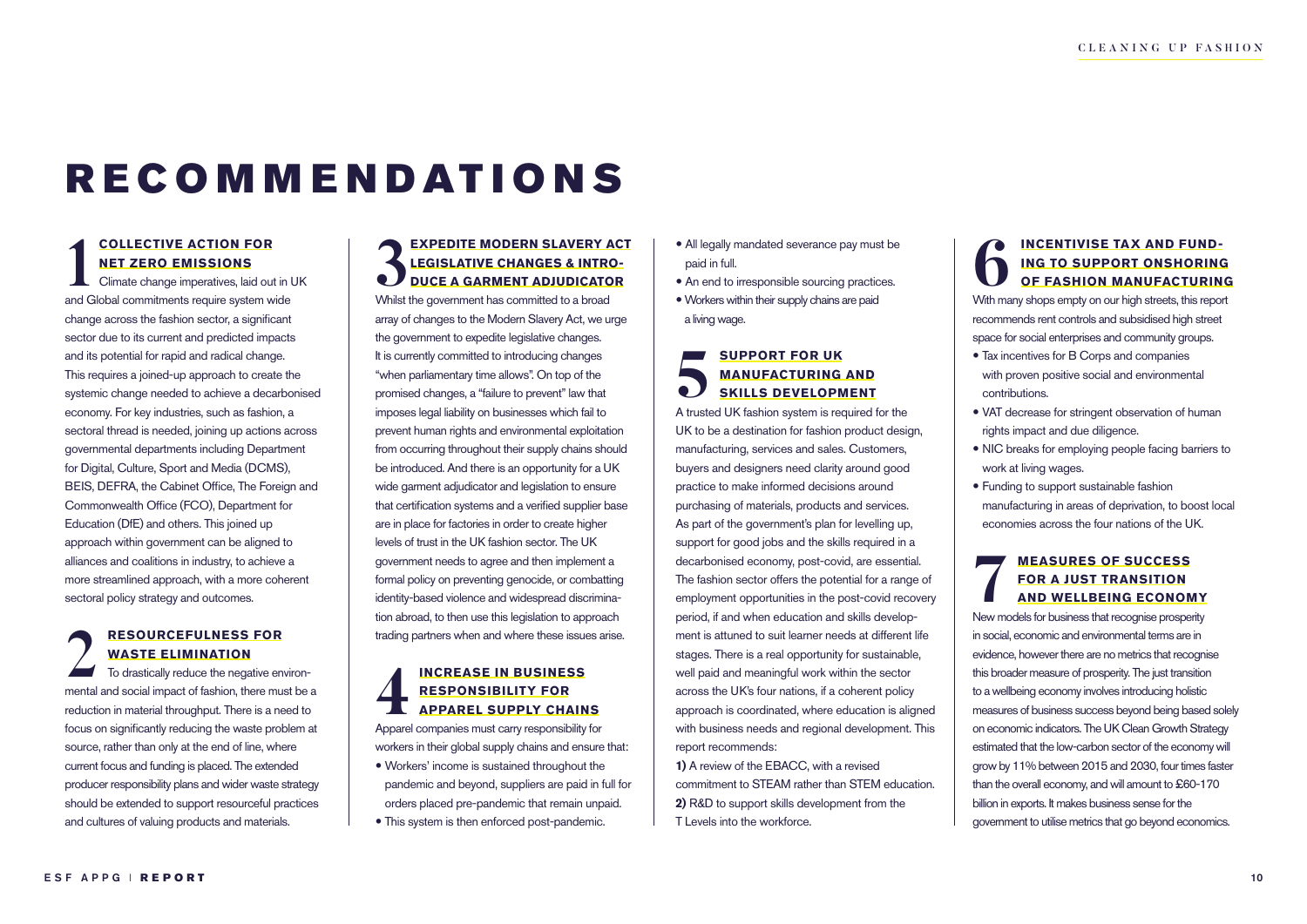# R E C O M M E N D AT I O N S

#### **COLLECTIVE ACTION FOR NET ZERO EMISSIONS**

Climate change imperatives, laid out in UK **COLLECTIVE ACTION FOR<br>
NET ZERO EMISSIONS**<br>
Climate change imperatives, laid out in l<br>
and Global commitments require system wide change across the fashion sector, a significant sector due to its current and predicted impacts and its potential for rapid and radical change. This requires a joined-up approach to create the systemic change needed to achieve a decarbonised economy. For key industries, such as fashion, a sectoral thread is needed, joining up actions across governmental departments including Department for Digital, Culture, Sport and Media (DCMS), BEIS, DEFRA, the Cabinet Office, The Foreign and Commonwealth Office (FCO), Department for Education (DfE) and others. This joined up approach within government can be aligned to alliances and coalitions in industry, to achieve a more streamlined approach, with a more coherent sectoral policy strategy and outcomes.

#### **RESOURCEFULNESS FOR WASTE ELIMINATION**

To drastically reduce the negative environ-**2 WASTE ELIMINATION**<br>To drastically reduce the negative environmental and social impact of fashion, there must be a reduction in material throughput. There is a need to focus on significantly reducing the waste problem at source, rather than only at the end of line, where current focus and funding is placed. The extended producer responsibility plans and wider waste strategy should be extended to support resourceful practices and cultures of valuing products and materials.

#### **EXPEDITE MODERN SLAVERY ACT LEGISLATIVE CHANGES & INTRO-DUCE A GARMENT ADJUDICATOR 3 LEGISLATIVE CHANGES & INTRONAL PRODUCE A GARMENT ADJUDICATO Whilst the government has committed to a broad S**

array of changes to the Modern Slavery Act, we urge the government to expedite legislative changes. It is currently committed to introducing changes "when parliamentary time allows". On top of the promised changes, a "failure to prevent" law that imposes legal liability on businesses which fail to prevent human rights and environmental exploitation from occurring throughout their supply chains should be introduced. And there is an opportunity for a UK wide garment adjudicator and legislation to ensure that certification systems and a verified supplier base are in place for factories in order to create higher levels of trust in the UK fashion sector. The UK government needs to agree and then implement a formal policy on preventing genocide, or combatting identity-based violence and widespread discrimination abroad, to then use this legislation to approach trading partners when and where these issues arise.

#### **INCREASE IN BUSINESS RESPONSIBILITY FOR APPAREL SUPPLY CHAINS APPAREL SUPPLY CHAINS**<br> **Apparel companies must carry responsibility for APPAREL SUPPLY CHAINS**

workers in their global supply chains and ensure that: Workers' income is sustained throughout the pandemic and beyond, suppliers are paid in full for orders placed pre-pandemic that remain unpaid.

This system is then enforced post-pandemic.

- All legally mandated severance pay must be paid in full.
- An end to irresponsible sourcing practices.
- Workers within their supply chains are paid a living wage.

#### **SUPPORT FOR UK MANUFACTURING AND SKILLS DEVELOPMENT SUPPORT FOR UK<br>
MANUFACTURING AND<br>
SKILLS DEVELOPMENT**<br>
A trusted UK fashion system is required for the

UK to be a destination for fashion product design, manufacturing, services and sales. Customers, buyers and designers need clarity around good practice to make informed decisions around purchasing of materials, products and services. As part of the government's plan for levelling up, support for good jobs and the skills required in a decarbonised economy, post-covid, are essential. The fashion sector offers the potential for a range of employment opportunities in the post-covid recovery period, if and when education and skills development is attuned to suit learner needs at different life stages. There is a real opportunity for sustainable, well paid and meaningful work within the sector across the UK's four nations, if a coherent policy approach is coordinated, where education is aligned with business needs and regional development. This report recommends:

**1)** A review of the EBACC, with a revised commitment to STEAM rather than STEM education. **2)** R&D to support skills development from the T Levels into the workforce.

#### **INCENTIVISE TAX AND FUND-ING TO SUPPORT ONSHORING OF FASHION MANUFACTURING CONTRIGET MANU STREET IN AND FUND-**<br> **CONTRIGE TO SUPPORT ONSHORING**<br>
With many shops empty on our high streets, this report

recommends rent controls and subsidised high street space for social enterprises and community groups.

- Tax incentives for B Corps and companies with proven positive social and environmental contributions.
- VAT decrease for stringent observation of human rights impact and due diligence.
- NIC breaks for employing people facing barriers to work at living wages.
- Funding to support sustainable fashion manufacturing in areas of deprivation, to boost local economies across the four nations of the UK.

#### **MEASURES OF SUCCESS FOR A JUST TRANSITION AND WELLBEING ECONOMY** MEASURES OF SUCCESS<br> **FOR A JUST TRANSITION<br>
AND WELLBEING ECONOMY**<br>
New models for business that recognise prosperity

in social, economic and environmental terms are in evidence, however there are no metrics that recognise this broader measure of prosperity. The just transition to a wellbeing economy involves introducing holistic measures of business success beyond being based solely on economic indicators. The UK Clean Growth Strategy estimated that the low-carbon sector of the economy will grow by 11% between 2015 and 2030, four times faster than the overall economy, and will amount to £60-170 billion in exports. It makes business sense for the government to utilise metrics that go beyond economics.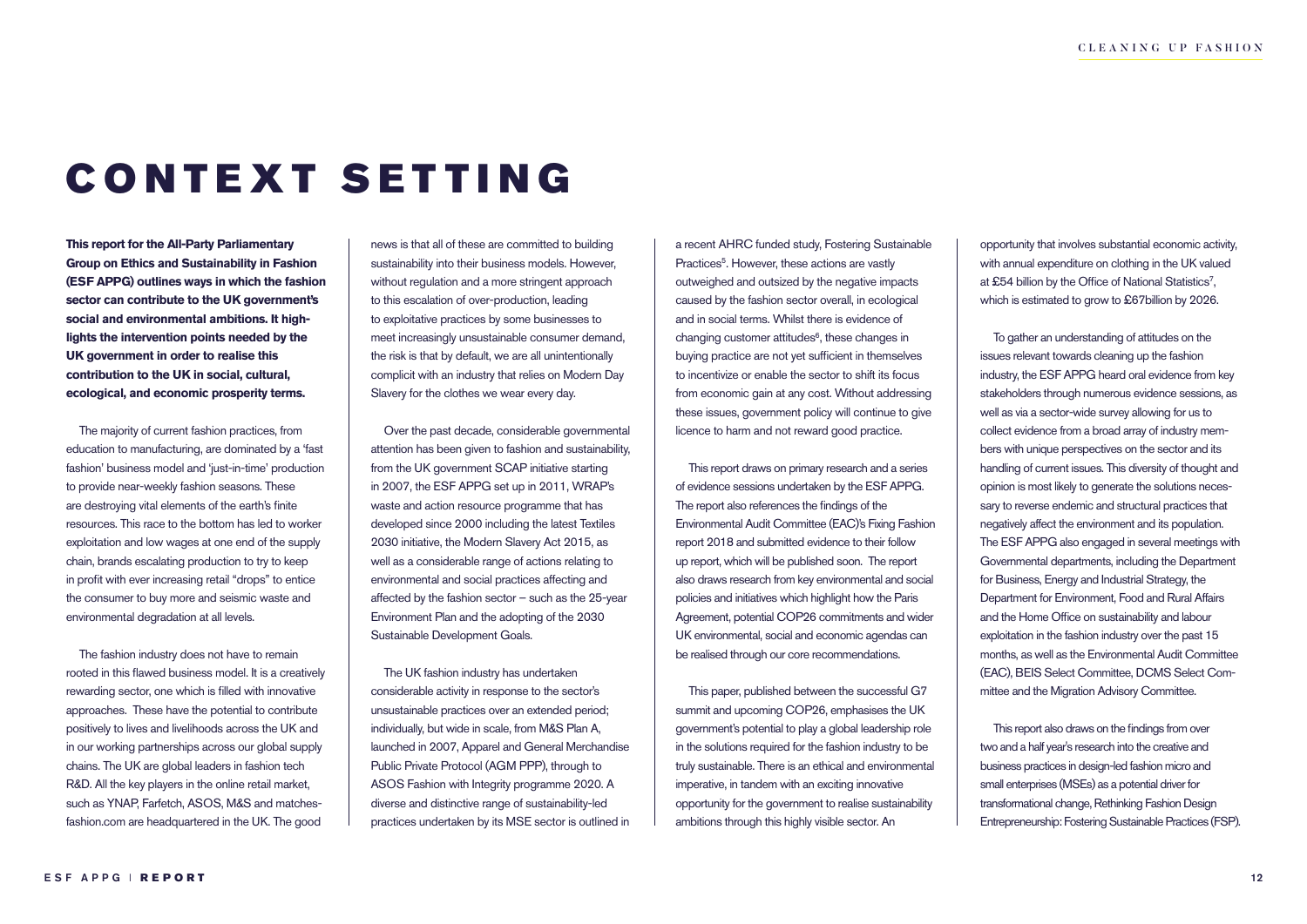# CONTEXT SETTING

**This report for the All-Party Parliamentary Group on Ethics and Sustainability in Fashion (ESF APPG) outlines ways in which the fashion sector can contribute to the UK government's social and environmental ambitions. It highlights the intervention points needed by the UK government in order to realise this contribution to the UK in social, cultural, ecological, and economic prosperity terms.** 

The majority of current fashion practices, from education to manufacturing, are dominated by a 'fast fashion' business model and 'just-in-time' production to provide near-weekly fashion seasons. These are destroying vital elements of the earth's finite resources. This race to the bottom has led to worker exploitation and low wages at one end of the supply chain, brands escalating production to try to keep in profit with ever increasing retail "drops" to entice the consumer to buy more and seismic waste and environmental degradation at all levels.

The fashion industry does not have to remain rooted in this flawed business model. It is a creatively rewarding sector, one which is filled with innovative approaches. These have the potential to contribute positively to lives and livelihoods across the UK and in our working partnerships across our global supply chains. The UK are global leaders in fashion tech R&D. All the key players in the online retail market, such as YNAP, Farfetch, ASOS, M&S and matchesfashion.com are headquartered in the UK. The good

news is that all of these are committed to building sustainability into their business models. However, without regulation and a more stringent approach to this escalation of over-production, leading to exploitative practices by some businesses to meet increasingly unsustainable consumer demand, the risk is that by default, we are all unintentionally complicit with an industry that relies on Modern Day Slavery for the clothes we wear every day.

Over the past decade, considerable governmental attention has been given to fashion and sustainability, from the UK government SCAP initiative starting in 2007, the ESF APPG set up in 2011, WRAP's waste and action resource programme that has developed since 2000 including the latest Textiles 2030 initiative, the Modern Slavery Act 2015, as well as a considerable range of actions relating to environmental and social practices affecting and affected by the fashion sector – such as the 25-year Environment Plan and the adopting of the 2030 Sustainable Development Goals.

The UK fashion industry has undertaken considerable activity in response to the sector's unsustainable practices over an extended period; individually, but wide in scale, from M&S Plan A, launched in 2007, Apparel and General Merchandise Public Private Protocol (AGM PPP), through to ASOS Fashion with Integrity programme 2020. A diverse and distinctive range of sustainability-led practices undertaken by its MSE sector is outlined in

a recent AHRC funded study, Fostering Sustainable Practices<sup>5</sup>. However, these actions are vastly outweighed and outsized by the negative impacts caused by the fashion sector overall, in ecological and in social terms. Whilst there is evidence of changing customer attitudes<sup>6</sup>, these changes in buying practice are not yet sufficient in themselves to incentivize or enable the sector to shift its focus from economic gain at any cost. Without addressing these issues, government policy will continue to give licence to harm and not reward good practice.

This report draws on primary research and a series of evidence sessions undertaken by the ESF APPG. The report also references the findings of the Environmental Audit Committee (EAC)'s Fixing Fashion report 2018 and submitted evidence to their follow up report, which will be published soon. The report also draws research from key environmental and social policies and initiatives which highlight how the Paris Agreement, potential COP26 commitments and wider UK environmental, social and economic agendas can be realised through our core recommendations.

This paper, published between the successful G7 summit and upcoming COP26, emphasises the UK government's potential to play a global leadership role in the solutions required for the fashion industry to be truly sustainable. There is an ethical and environmental imperative, in tandem with an exciting innovative opportunity for the government to realise sustainability ambitions through this highly visible sector. An

opportunity that involves substantial economic activity, with annual expenditure on clothing in the UK valued at £54 billion by the Office of National Statistics<sup>7</sup>, which is estimated to grow to £67billion by 2026.

To gather an understanding of attitudes on the issues relevant towards cleaning up the fashion industry, the ESF APPG heard oral evidence from key stakeholders through numerous evidence sessions, as well as via a sector-wide survey allowing for us to collect evidence from a broad array of industry members with unique perspectives on the sector and its handling of current issues. This diversity of thought and opinion is most likely to generate the solutions necessary to reverse endemic and structural practices that negatively affect the environment and its population. The ESF APPG also engaged in several meetings with Governmental departments, including the Department for Business, Energy and Industrial Strategy, the Department for Environment, Food and Rural Affairs and the Home Office on sustainability and labour exploitation in the fashion industry over the past 15 months, as well as the Environmental Audit Committee (EAC), BEIS Select Committee, DCMS Select Committee and the Migration Advisory Committee.

This report also draws on the findings from over two and a half year's research into the creative and business practices in design-led fashion micro and small enterprises (MSEs) as a potential driver for transformational change, Rethinking Fashion Design Entrepreneurship: Fostering Sustainable Practices (FSP).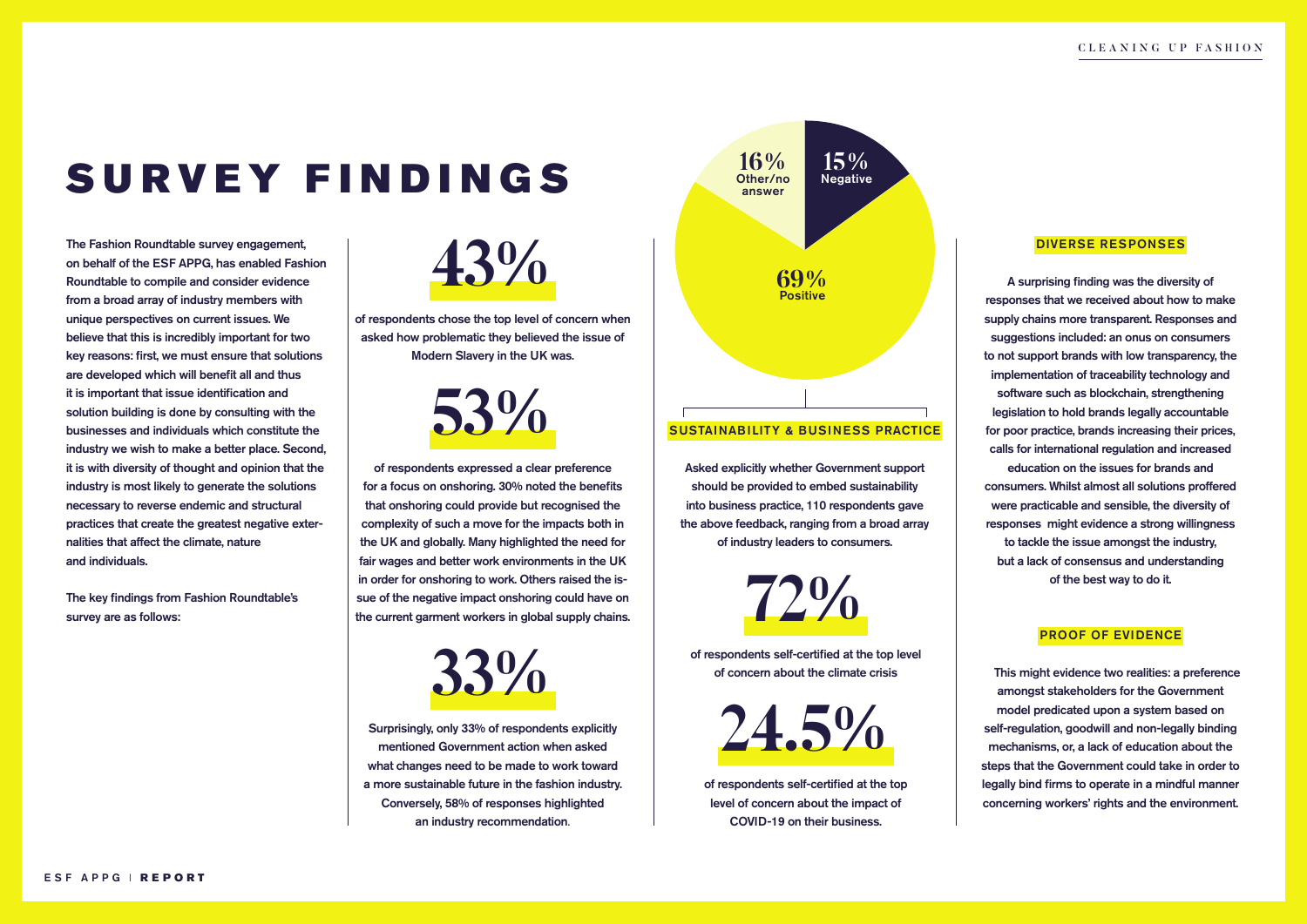## SURVEY FINDINGS

The Fashion Roundtable survey engagement, on behalf of the ESF APPG, has enabled Fashion Roundtable to compile and consider evidence from a broad array of industry members with unique perspectives on current issues. We believe that this is incredibly important for two key reasons: first, we must ensure that solutions are developed which will benefit all and thus it is important that issue identification and solution building is done by consulting with the businesses and individuals which constitute the industry we wish to make a better place. Second, it is with diversity of thought and opinion that the industry is most likely to generate the solutions necessary to reverse endemic and structural practices that create the greatest negative externalities that affect the climate, nature and individuals.

The key findings from Fashion Roundtable's survey are as follows:

**43%**

of respondents chose the top level of concern when asked how problematic they believed the issue of Modern Slavery in the UK was.

**53%**

of respondents expressed a clear preference for a focus on onshoring. 30% noted the benefits that onshoring could provide but recognised the complexity of such a move for the impacts both in the UK and globally. Many highlighted the need for fair wages and better work environments in the UK in order for onshoring to work. Others raised the issue of the negative impact onshoring could have on the current garment workers in global supply chains.

**33%**

**2 2 2 I Conversely**, **30** 70 **C i Cone volutes** inginieu es an industry recommendation.<br>
an industry recommendation. Surprisingly, only 33% of respondents explicitly mentioned Government action when asked what changes need to be made to work toward a more sustainable future in the fashion industry. Conversely, 58% of responses highlighted



#### SUSTAINABILITY & BUSINESS PRACTICE

Asked explicitly whether Government support should be provided to embed sustainability into business practice, 110 respondents gave the above feedback, ranging from a broad array of industry leaders to consumers.

**72%**

of respondents self-certified at the top level of concern about the climate crisis



evel of concern about the impact of xis of concern about the impact of the voluption int, voluptating workers rights and the criticism of respondents self-certified at the top COVID-19 on their business.

#### DIVERSE RESPONSES

A surprising finding was the diversity of responses that we received about how to make supply chains more transparent. Responses and suggestions included: an onus on consumers to not support brands with low transparency, the implementation of traceability technology and software such as blockchain, strengthening legislation to hold brands legally accountable for poor practice, brands increasing their prices, calls for international regulation and increased education on the issues for brands and consumers. Whilst almost all solutions proffered were practicable and sensible, the diversity of responses might evidence a strong willingness to tackle the issue amongst the industry, but a lack of consensus and understanding of the best way to do it.

#### PROOF OF EVIDENCE

This might evidence two realities: a preference amongst stakeholders for the Government model predicated upon a system based on self-regulation, goodwill and non-legally binding mechanisms, or, a lack of education about the steps that the Government could take in order to legally bind firms to operate in a mindful manner concerning workers' rights and the environment.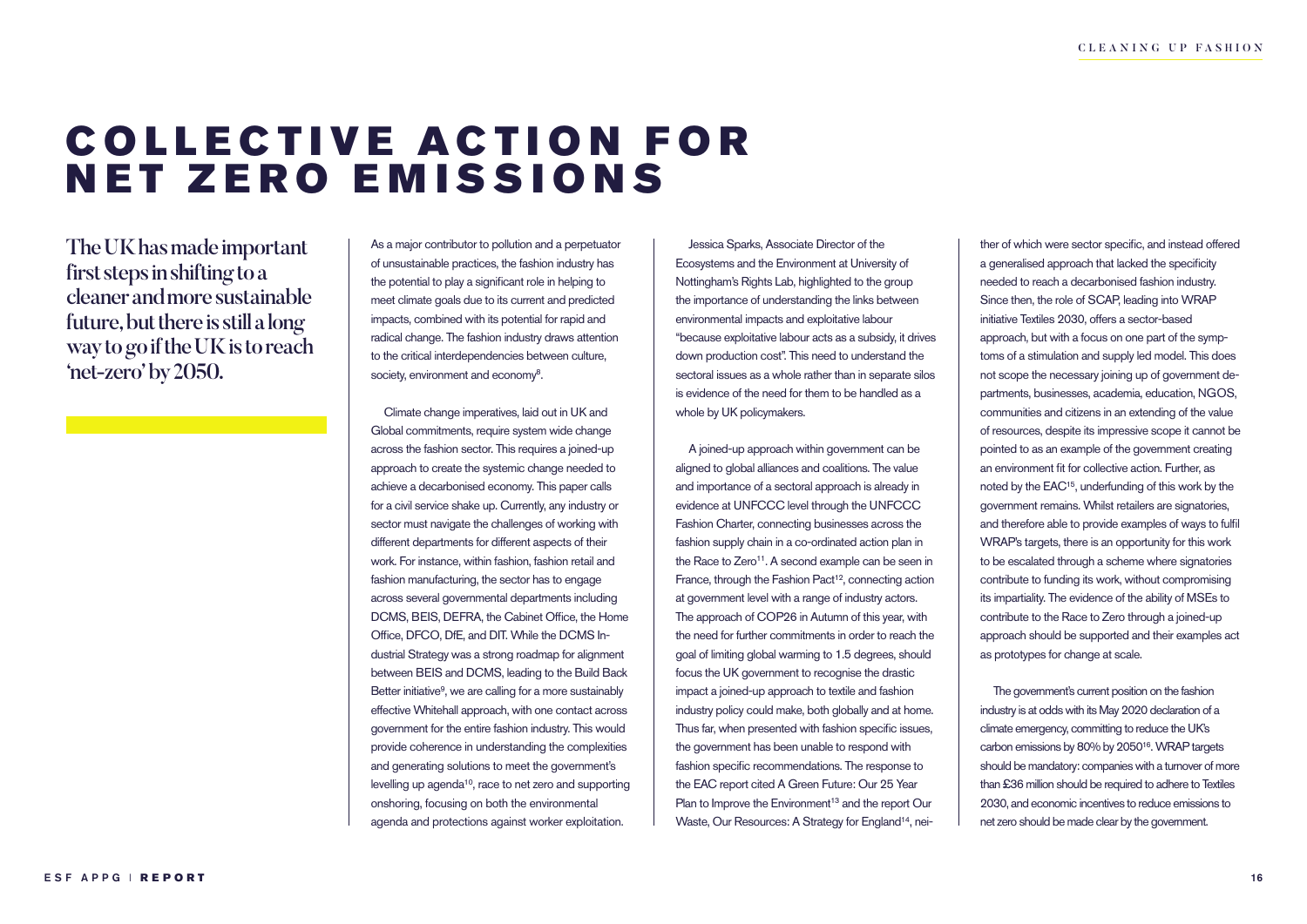### **COLLECTIVE ACTION FOR** NET ZERO EMISSIONS

The UK has made important first steps in shifting to a cleaner and more sustainable future, but there is still a long way to go if the UK is to reach 'net-zero' by 2050.

As a major contributor to pollution and a perpetuator of unsustainable practices, the fashion industry has the potential to play a significant role in helping to meet climate goals due to its current and predicted impacts, combined with its potential for rapid and radical change. The fashion industry draws attention to the critical interdependencies between culture, society, environment and economy<sup>8</sup>.

Climate change imperatives, laid out in UK and Global commitments, require system wide change across the fashion sector. This requires a joined-up approach to create the systemic change needed to achieve a decarbonised economy. This paper calls for a civil service shake up. Currently, any industry or sector must navigate the challenges of working with different departments for different aspects of their work. For instance, within fashion, fashion retail and fashion manufacturing, the sector has to engage across several governmental departments including DCMS, BEIS, DEFRA, the Cabinet Office, the Home Office, DFCO, DfE, and DIT. While the DCMS Industrial Strategy was a strong roadmap for alignment between BEIS and DCMS, leading to the Build Back Better initiative<sup>9</sup>, we are calling for a more sustainably effective Whitehall approach, with one contact across government for the entire fashion industry. This would provide coherence in understanding the complexities and generating solutions to meet the government's levelling up agenda<sup>10</sup>, race to net zero and supporting onshoring, focusing on both the environmental agenda and protections against worker exploitation.

Jessica Sparks, Associate Director of the Ecosystems and the Environment at University of Nottingham's Rights Lab, highlighted to the group the importance of understanding the links between environmental impacts and exploitative labour "because exploitative labour acts as a subsidy, it drives down production cost". This need to understand the sectoral issues as a whole rather than in separate silos is evidence of the need for them to be handled as a whole by UK policymakers.

A joined-up approach within government can be aligned to global alliances and coalitions. The value and importance of a sectoral approach is already in evidence at UNFCCC level through the UNFCCC Fashion Charter, connecting businesses across the fashion supply chain in a co-ordinated action plan in the Race to Zero<sup>11</sup>. A second example can be seen in France, through the Fashion Pact<sup>12</sup>, connecting action at government level with a range of industry actors. The approach of COP26 in Autumn of this year, with the need for further commitments in order to reach the goal of limiting global warming to 1.5 degrees, should focus the UK government to recognise the drastic impact a joined-up approach to textile and fashion industry policy could make, both globally and at home. Thus far, when presented with fashion specific issues, the government has been unable to respond with fashion specific recommendations. The response to the EAC report cited A Green Future: Our 25 Year Plan to Improve the Environment<sup>13</sup> and the report Our Waste, Our Resources: A Strategy for England<sup>14</sup>, nei-

ther of which were sector specific, and instead offered a generalised approach that lacked the specificity needed to reach a decarbonised fashion industry. Since then, the role of SCAP, leading into WRAP initiative Textiles 2030, offers a sector-based approach, but with a focus on one part of the symptoms of a stimulation and supply led model. This does not scope the necessary joining up of government departments, businesses, academia, education, NGOS, communities and citizens in an extending of the value of resources, despite its impressive scope it cannot be pointed to as an example of the government creating an environment fit for collective action. Further, as noted by the EAC15, underfunding of this work by the government remains. Whilst retailers are signatories, and therefore able to provide examples of ways to fulfil WRAP's targets, there is an opportunity for this work to be escalated through a scheme where signatories contribute to funding its work, without compromising its impartiality. The evidence of the ability of MSEs to contribute to the Race to Zero through a joined-up approach should be supported and their examples act as prototypes for change at scale.

The government's current position on the fashion industry is at odds with its May 2020 declaration of a climate emergency, committing to reduce the UK's carbon emissions by 80% by 205016. WRAP targets should be mandatory: companies with a turnover of more than £36 million should be required to adhere to Textiles 2030, and economic incentives to reduce emissions to net zero should be made clear by the government.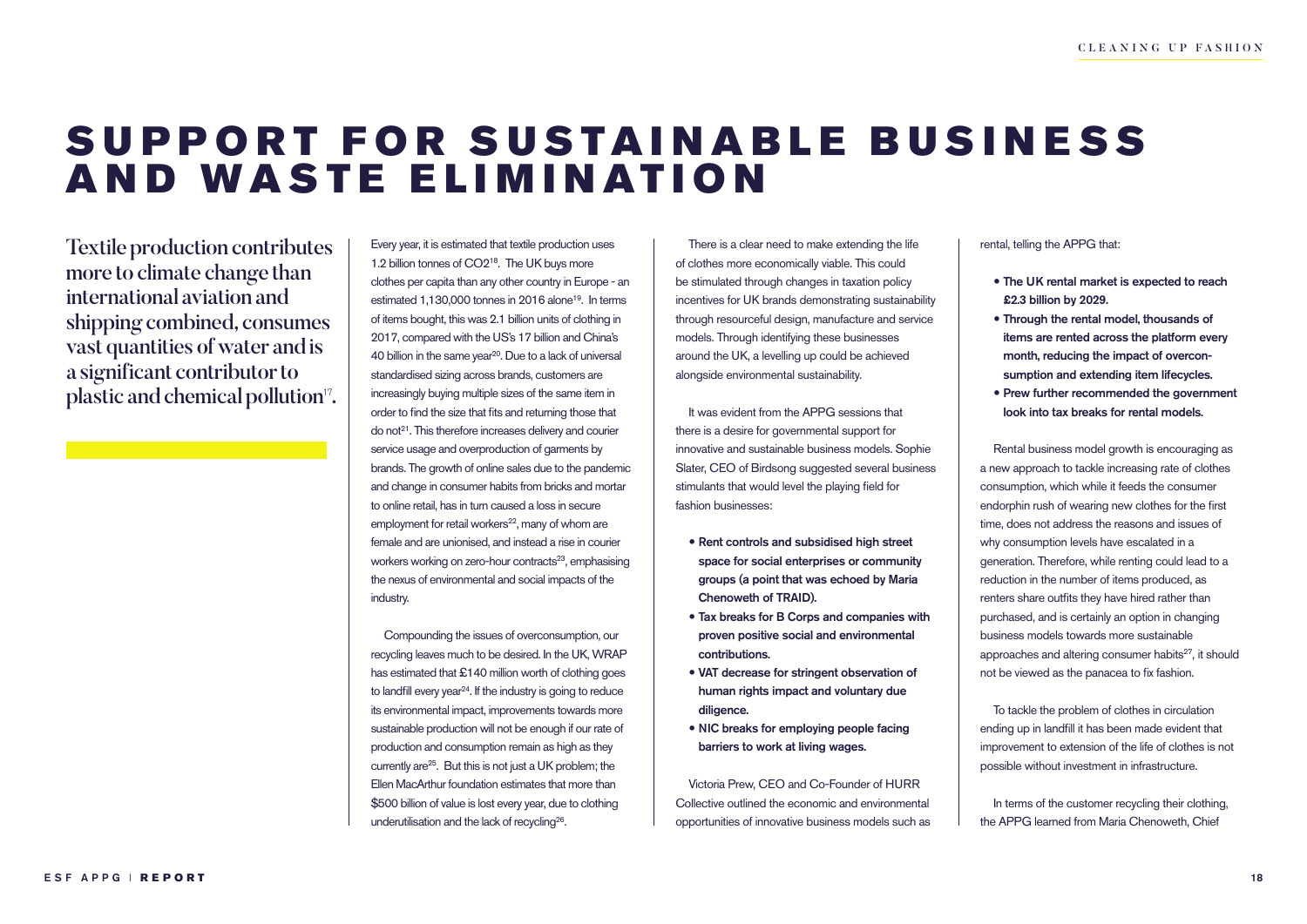### SUPPORT FOR SUSTAINABLE BUSINESS AND WASTE ELIMINATION

Textile production contributes more to climate change than international aviation and shipping combined, consumes vast quantities of water and is a significant contributor to plastic and chemical pollution<sup>17</sup>.

Every year, it is estimated that textile production uses 1.2 billion tonnes of CO218. The UK buys more clothes per capita than any other country in Europe - an estimated 1,130,000 tonnes in 2016 alone<sup>19</sup>. In terms of items bought, this was 2.1 billion units of clothing in 2017, compared with the US's 17 billion and China's 40 billion in the same year<sup>20</sup>. Due to a lack of universal standardised sizing across brands, customers are increasingly buying multiple sizes of the same item in order to find the size that fits and returning those that do not<sup>21</sup>. This therefore increases delivery and courier service usage and overproduction of garments by brands. The growth of online sales due to the pandemic and change in consumer habits from bricks and mortar to online retail, has in turn caused a loss in secure employment for retail workers<sup>22</sup>, many of whom are female and are unionised, and instead a rise in courier workers working on zero-hour contracts<sup>23</sup>, emphasising the nexus of environmental and social impacts of the industry.

Compounding the issues of overconsumption, our recycling leaves much to be desired. In the UK, WRAP has estimated that £140 million worth of clothing goes to landfill every year<sup>24</sup>. If the industry is going to reduce its environmental impact, improvements towards more sustainable production will not be enough if our rate of production and consumption remain as high as they currently are<sup>25</sup>. But this is not just a UK problem; the Ellen MacArthur foundation estimates that more than \$500 billion of value is lost every year, due to clothing underutilisation and the lack of recycling26.

There is a clear need to make extending the life of clothes more economically viable. This could be stimulated through changes in taxation policy incentives for UK brands demonstrating sustainability through resourceful design, manufacture and service models. Through identifying these businesses around the UK, a levelling up could be achieved alongside environmental sustainability.

It was evident from the APPG sessions that there is a desire for governmental support for innovative and sustainable business models. Sophie Slater, CEO of Birdsong suggested several business stimulants that would level the playing field for fashion businesses:

- Rent controls and subsidised high street space for social enterprises or community groups (a point that was echoed by Maria Chenoweth of TRAID).
- Tax breaks for B Corps and companies with proven positive social and environmental contributions.
- VAT decrease for stringent observation of human rights impact and voluntary due diligence.
- NIC breaks for employing people facing barriers to work at living wages.

Victoria Prew, CEO and Co-Founder of HURR Collective outlined the economic and environmental opportunities of innovative business models such as rental, telling the APPG that:

- The UK rental market is expected to reach £2.3 billion by 2029.
- Through the rental model, thousands of items are rented across the platform every month, reducing the impact of overconsumption and extending item lifecycles.
- Prew further recommended the government look into tax breaks for rental models.

Rental business model growth is encouraging as a new approach to tackle increasing rate of clothes consumption, which while it feeds the consumer endorphin rush of wearing new clothes for the first time, does not address the reasons and issues of why consumption levels have escalated in a generation. Therefore, while renting could lead to a reduction in the number of items produced, as renters share outfits they have hired rather than purchased, and is certainly an option in changing business models towards more sustainable approaches and altering consumer habits<sup>27</sup>, it should not be viewed as the panacea to fix fashion.

To tackle the problem of clothes in circulation ending up in landfill it has been made evident that improvement to extension of the life of clothes is not possible without investment in infrastructure.

In terms of the customer recycling their clothing, the APPG learned from Maria Chenoweth, Chief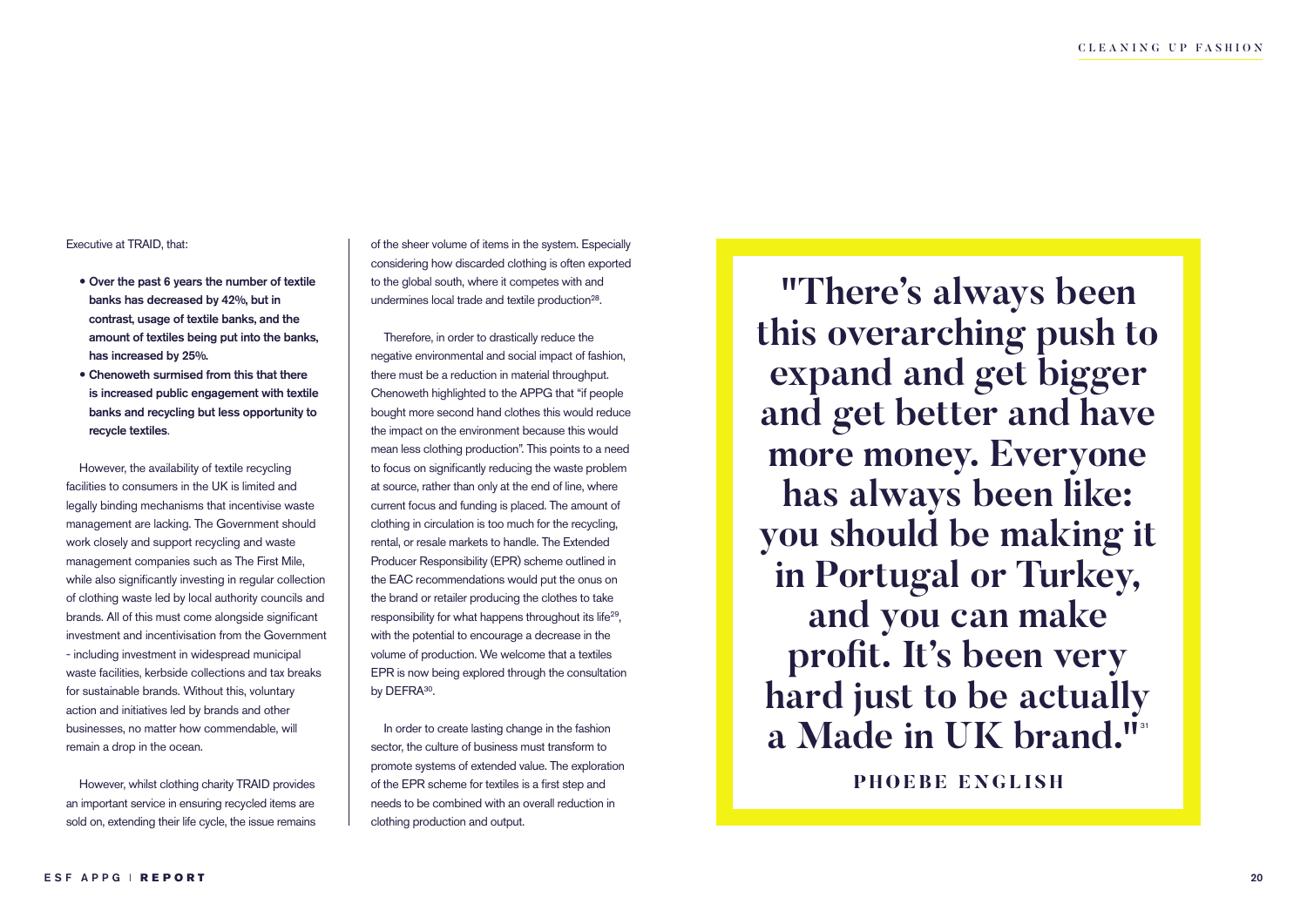#### Executive at TRAID, that:

- Over the past 6 years the number of textile banks has decreased by 42%, but in contrast, usage of textile banks, and the amount of textiles being put into the banks, has increased by 25%.
- Chenoweth surmised from this that there is increased public engagement with textile banks and recycling but less opportunity to recycle textiles.

However, the availability of textile recycling facilities to consumers in the UK is limited and legally binding mechanisms that incentivise waste management are lacking. The Government should work closely and support recycling and waste management companies such as The First Mile, while also significantly investing in regular collection of clothing waste led by local authority councils and brands. All of this must come alongside significant investment and incentivisation from the Government - including investment in widespread municipal waste facilities, kerbside collections and tax breaks for sustainable brands. Without this, voluntary action and initiatives led by brands and other businesses, no matter how commendable, will remain a drop in the ocean.

However, whilst clothing charity TRAID provides an important service in ensuring recycled items are sold on, extending their life cycle, the issue remains of the sheer volume of items in the system. Especially considering how discarded clothing is often exported to the global south, where it competes with and undermines local trade and textile production<sup>28</sup>.

Therefore, in order to drastically reduce the negative environmental and social impact of fashion, there must be a reduction in material throughput. Chenoweth highlighted to the APPG that "if people bought more second hand clothes this would reduce the impact on the environment because this would mean less clothing production". This points to a need to focus on significantly reducing the waste problem at source, rather than only at the end of line, where current focus and funding is placed. The amount of clothing in circulation is too much for the recycling, rental, or resale markets to handle. The Extended Producer Responsibility (EPR) scheme outlined in the EAC recommendations would put the onus on the brand or retailer producing the clothes to take responsibility for what happens throughout its life<sup>29</sup>, with the potential to encourage a decrease in the volume of production. We welcome that a textiles EPR is now being explored through the consultation by DEFRA<sup>30</sup>.

In order to create lasting change in the fashion sector, the culture of business must transform to promote systems of extended value. The exploration of the EPR scheme for textiles is a first step and needs to be combined with an overall reduction in clothing production and output.

**"There's always been this overarching push to expand and get bigger and get better and have more money. Everyone has always been like: you should be making it in Portugal or Turkey, and you can make profit. It's been very hard just to be actually**  a Made in UK brand."<sup>31</sup> **PHOEBE ENGLISH**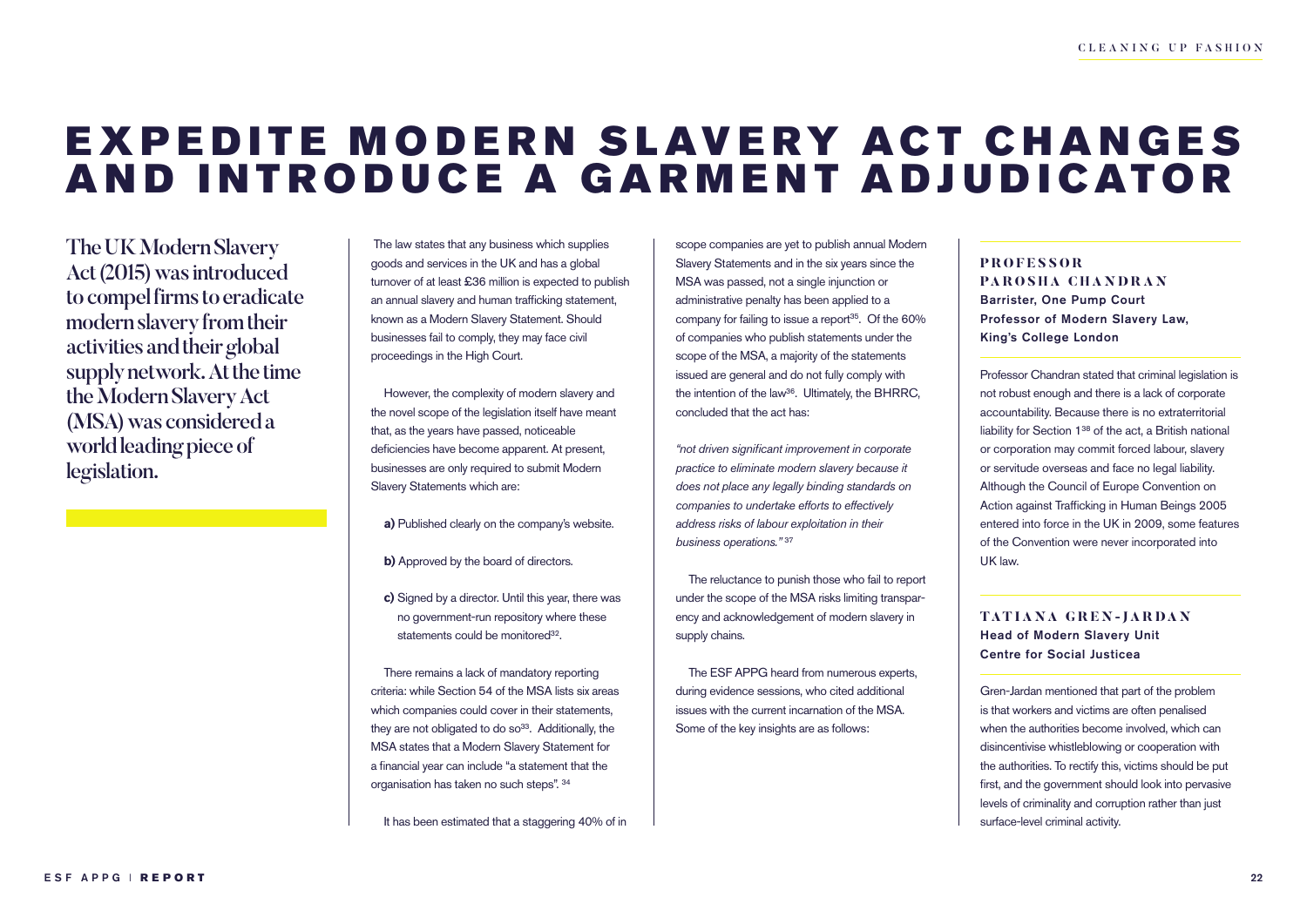### EXPEDITE MODERN SLAVERY ACT CHANGES AND INTRODUCE A GARMENT ADJUDICATOR

The UK Modern Slavery Act (2015) was introduced to compel firms to eradicate modern slavery from their activities and their global supply network. At the time the Modern Slavery Act (MSA) was considered a world leading piece of legislation.

 The law states that any business which supplies goods and services in the UK and has a global turnover of at least £36 million is expected to publish an annual slavery and human trafficking statement, known as a Modern Slavery Statement. Should businesses fail to comply, they may face civil proceedings in the High Court.

However, the complexity of modern slavery and the novel scope of the legislation itself have meant that, as the years have passed, noticeable deficiencies have become apparent. At present, businesses are only required to submit Modern Slavery Statements which are:

**a)** Published clearly on the company's website.

**b)** Approved by the board of directors.

**c)** Signed by a director. Until this year, there was no government-run repository where these statements could be monitored<sup>32</sup>.

There remains a lack of mandatory reporting criteria: while Section 54 of the MSA lists six areas which companies could cover in their statements, they are not obligated to do  $so<sup>33</sup>$ . Additionally, the MSA states that a Modern Slavery Statement for a financial year can include "a statement that the organisation has taken no such steps". 34

It has been estimated that a staggering 40% of in

scope companies are yet to publish annual Modern Slavery Statements and in the six years since the MSA was passed, not a single injunction or administrative penalty has been applied to a company for failing to issue a report $35$ . Of the 60% of companies who publish statements under the scope of the MSA, a majority of the statements issued are general and do not fully comply with the intention of the law<sup>36</sup>. Ultimately, the BHRRC, concluded that the act has:

*"not driven significant improvement in corporate practice to eliminate modern slavery because it does not place any legally binding standards on companies to undertake efforts to effectively address risks of labour exploitation in their business operations."* <sup>37</sup>

The reluctance to punish those who fail to report under the scope of the MSA risks limiting transparency and acknowledgement of modern slavery in supply chains.

The ESF APPG heard from numerous experts, during evidence sessions, who cited additional issues with the current incarnation of the MSA. Some of the key insights are as follows:

### **P R O F E S S O R PAROSHA CHANDRAN** Barrister, One Pump Court Professor of Modern Slavery Law, King's College London

Professor Chandran stated that criminal legislation is not robust enough and there is a lack of corporate accountability. Because there is no extraterritorial liability for Section 138 of the act, a British national or corporation may commit forced labour, slavery or servitude overseas and face no legal liability. Although the Council of Europe Convention on Action against Trafficking in Human Beings 2005 entered into force in the UK in 2009, some features of the Convention were never incorporated into UK law.

**TATIANA GREN-JARDAN** Head of Modern Slavery Unit Centre for Social Justicea

Gren-Jardan mentioned that part of the problem is that workers and victims are often penalised when the authorities become involved, which can disincentivise whistleblowing or cooperation with the authorities. To rectify this, victims should be put first, and the government should look into pervasive levels of criminality and corruption rather than just surface-level criminal activity.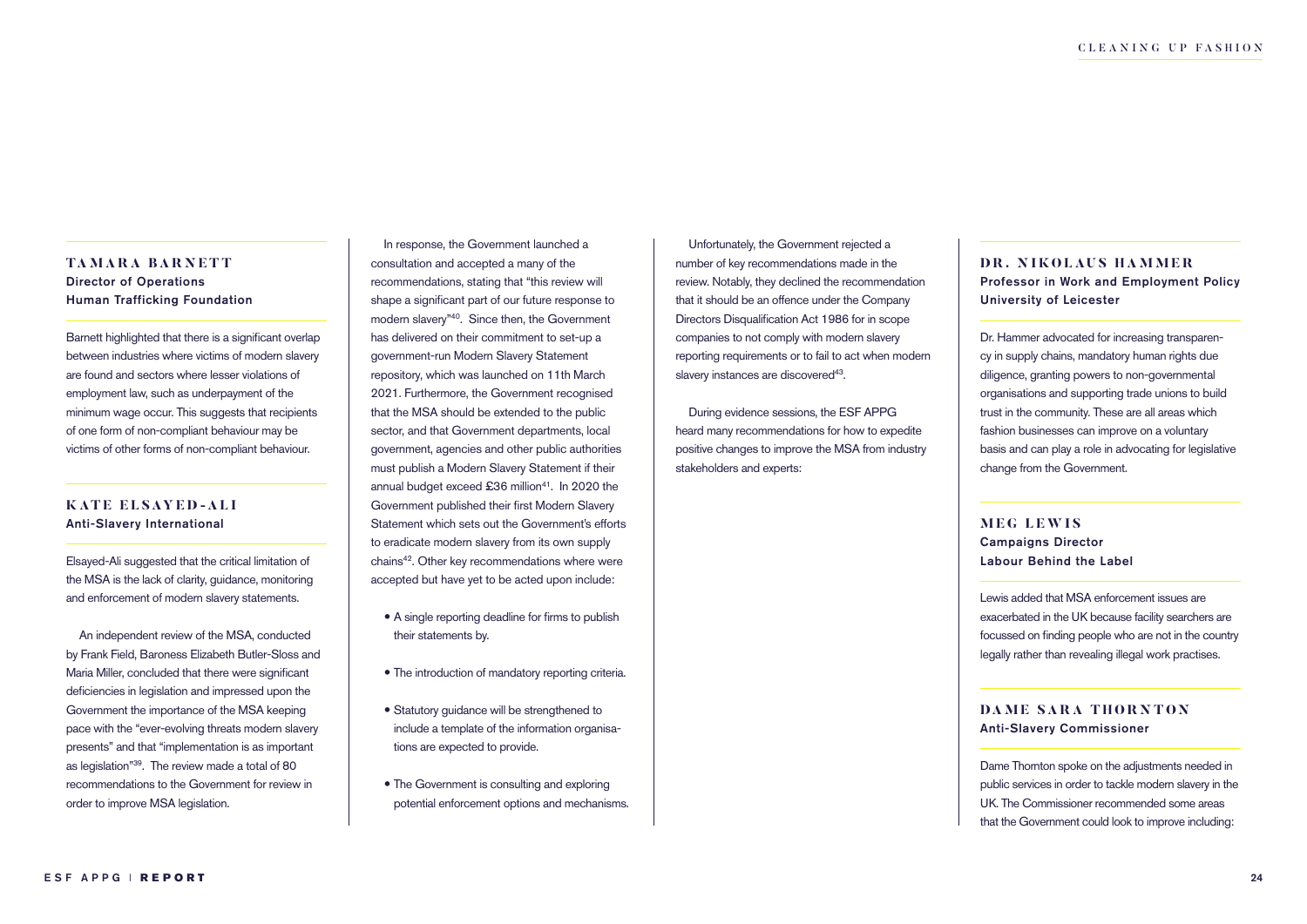#### **TAMARA BARNETT** Director of Operations Human Trafficking Foundation

Barnett highlighted that there is a significant overlap between industries where victims of modern slavery are found and sectors where lesser violations of employment law, such as underpayment of the minimum wage occur. This suggests that recipients of one form of non-compliant behaviour may be victims of other forms of non-compliant behaviour.

#### **KATE ELSAYED-ALI** Anti-Slavery International

Elsayed-Ali suggested that the critical limitation of the MSA is the lack of clarity, guidance, monitoring and enforcement of modern slavery statements.

An independent review of the MSA, conducted by Frank Field, Baroness Elizabeth Butler-Sloss and Maria Miller, concluded that there were significant deficiencies in legislation and impressed upon the Government the importance of the MSA keeping pace with the "ever-evolving threats modern slavery presents" and that "implementation is as important as legislation"<sup>39</sup>. The review made a total of 80 recommendations to the Government for review in order to improve MSA legislation.

In response, the Government launched a consultation and accepted a many of the recommendations, stating that "this review will shape a significant part of our future response to modern slavery"40. Since then, the Government has delivered on their commitment to set-up a government-run Modern Slavery Statement repository, which was launched on 11th March 2021. Furthermore, the Government recognised that the MSA should be extended to the public sector, and that Government departments, local government, agencies and other public authorities must publish a Modern Slavery Statement if their annual budget exceed £36 million<sup>41</sup>. In 2020 the Government published their first Modern Slavery Statement which sets out the Government's efforts to eradicate modern slavery from its own supply chains42. Other key recommendations where were accepted but have yet to be acted upon include:

- A single reporting deadline for firms to publish their statements by.
- The introduction of mandatory reporting criteria.
- Statutory guidance will be strengthened to include a template of the information organisations are expected to provide.
- The Government is consulting and exploring potential enforcement options and mechanisms.

Unfortunately, the Government rejected a number of key recommendations made in the review. Notably, they declined the recommendation that it should be an offence under the Company Directors Disqualification Act 1986 for in scope companies to not comply with modern slavery reporting requirements or to fail to act when modern slavery instances are discovered<sup>43</sup>.

During evidence sessions, the ESF APPG heard many recommendations for how to expedite positive changes to improve the MSA from industry stakeholders and experts:

#### **DR. NIKOLAUS HAMMER** Professor in Work and Employment Policy University of Leicester

Dr. Hammer advocated for increasing transparency in supply chains, mandatory human rights due diligence, granting powers to non-governmental organisations and supporting trade unions to build trust in the community. These are all areas which fashion businesses can improve on a voluntary basis and can play a role in advocating for legislative change from the Government.

#### **MEG LEWIS** Campaigns Director Labour Behind the Label

Lewis added that MSA enforcement issues are exacerbated in the UK because facility searchers are focussed on finding people who are not in the country legally rather than revealing illegal work practises.

#### **DAME SARA THORNTON** Anti-Slavery Commissioner

Dame Thornton spoke on the adjustments needed in public services in order to tackle modern slavery in the UK. The Commissioner recommended some areas that the Government could look to improve including: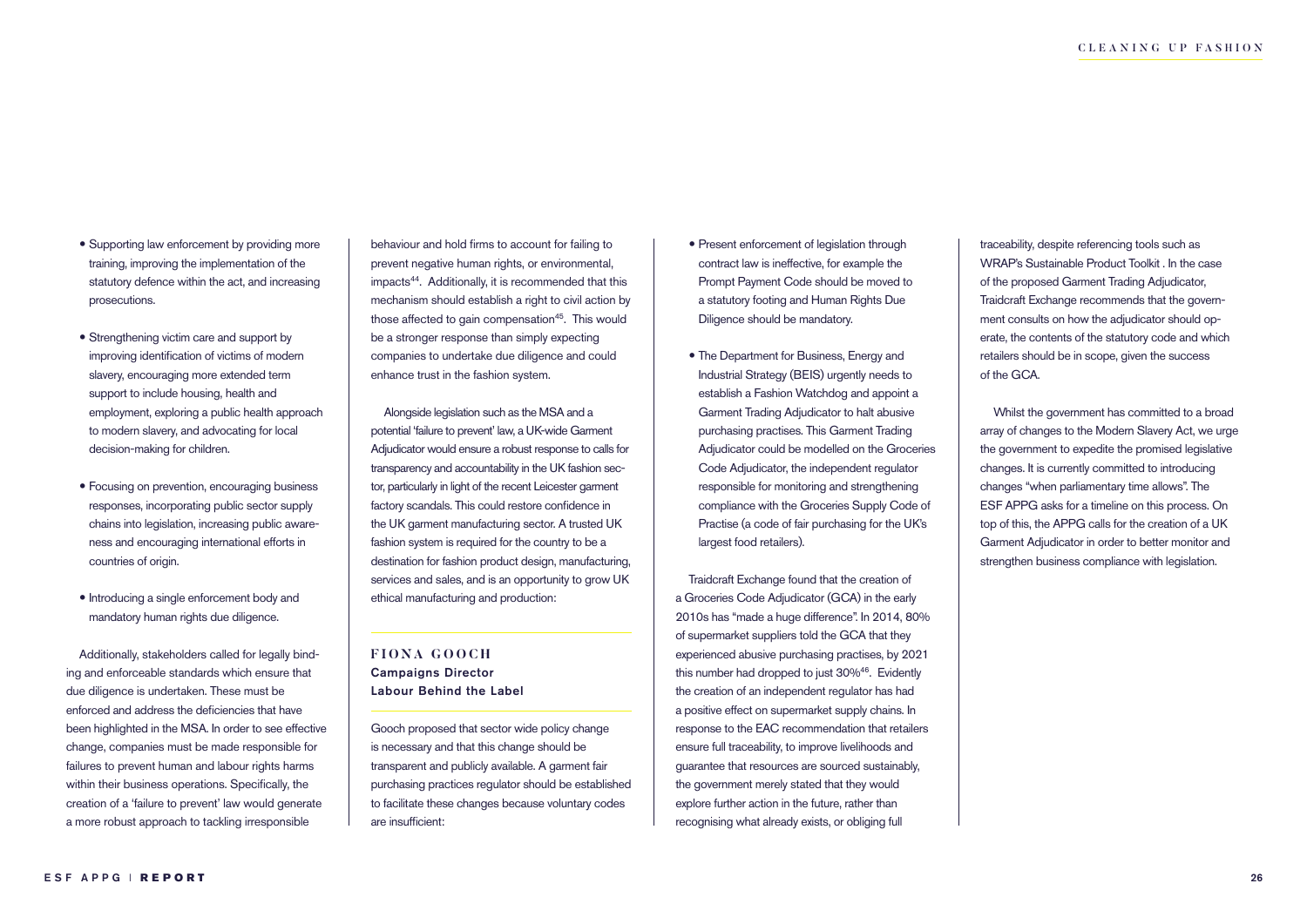- Supporting law enforcement by providing more training, improving the implementation of the statutory defence within the act, and increasing prosecutions.
- Strengthening victim care and support by improving identification of victims of modern slavery, encouraging more extended term support to include housing, health and employment, exploring a public health approach to modern slavery, and advocating for local decision-making for children.
- Focusing on prevention, encouraging business responses, incorporating public sector supply chains into legislation, increasing public awareness and encouraging international efforts in countries of origin.
- $\bullet$  Introducing a single enforcement body and mandatory human rights due diligence.

Additionally, stakeholders called for legally binding and enforceable standards which ensure that due diligence is undertaken. These must be enforced and address the deficiencies that have been highlighted in the MSA. In order to see effective change, companies must be made responsible for failures to prevent human and labour rights harms within their business operations. Specifically, the creation of a 'failure to prevent' law would generate a more robust approach to tackling irresponsible

behaviour and hold firms to account for failing to prevent negative human rights, or environmental, impacts44. Additionally, it is recommended that this mechanism should establish a right to civil action by those affected to gain compensation<sup>45</sup>. This would be a stronger response than simply expecting companies to undertake due diligence and could enhance trust in the fashion system.

Alongside legislation such as the MSA and a potential 'failure to prevent' law, a UK-wide Garment Adjudicator would ensure a robust response to calls for transparency and accountability in the UK fashion sector, particularly in light of the recent Leicester garment factory scandals. This could restore confidence in the UK garment manufacturing sector. A trusted UK fashion system is required for the country to be a destination for fashion product design, manufacturing, services and sales, and is an opportunity to grow UK ethical manufacturing and production:

**FIONA GOOC H** Campaigns Director Labour Behind the Label

Gooch proposed that sector wide policy change is necessary and that this change should be transparent and publicly available. A garment fair purchasing practices regulator should be established to facilitate these changes because voluntary codes are insufficient:

- Present enforcement of legislation through contract law is ineffective, for example the Prompt Payment Code should be moved to a statutory footing and Human Rights Due Diligence should be mandatory.
- The Department for Business, Energy and Industrial Strategy (BEIS) urgently needs to establish a Fashion Watchdog and appoint a Garment Trading Adjudicator to halt abusive purchasing practises. This Garment Trading Adjudicator could be modelled on the Groceries Code Adjudicator, the independent regulator responsible for monitoring and strengthening compliance with the Groceries Supply Code of Practise (a code of fair purchasing for the UK's largest food retailers).

Traidcraft Exchange found that the creation of a Groceries Code Adjudicator (GCA) in the early 2010s has "made a huge difference". In 2014, 80% of supermarket suppliers told the GCA that they experienced abusive purchasing practises, by 2021 this number had dropped to just 30%46. Evidently the creation of an independent regulator has had a positive effect on supermarket supply chains. In response to the EAC recommendation that retailers ensure full traceability, to improve livelihoods and guarantee that resources are sourced sustainably, the government merely stated that they would explore further action in the future, rather than recognising what already exists, or obliging full

traceability, despite referencing tools such as WRAP's Sustainable Product Toolkit . In the case of the proposed Garment Trading Adjudicator, Traidcraft Exchange recommends that the government consults on how the adjudicator should operate, the contents of the statutory code and which retailers should be in scope, given the success of the GCA.

Whilst the government has committed to a broad array of changes to the Modern Slavery Act, we urge the government to expedite the promised legislative changes. It is currently committed to introducing changes "when parliamentary time allows". The ESF APPG asks for a timeline on this process. On top of this, the APPG calls for the creation of a UK Garment Adjudicator in order to better monitor and strengthen business compliance with legislation.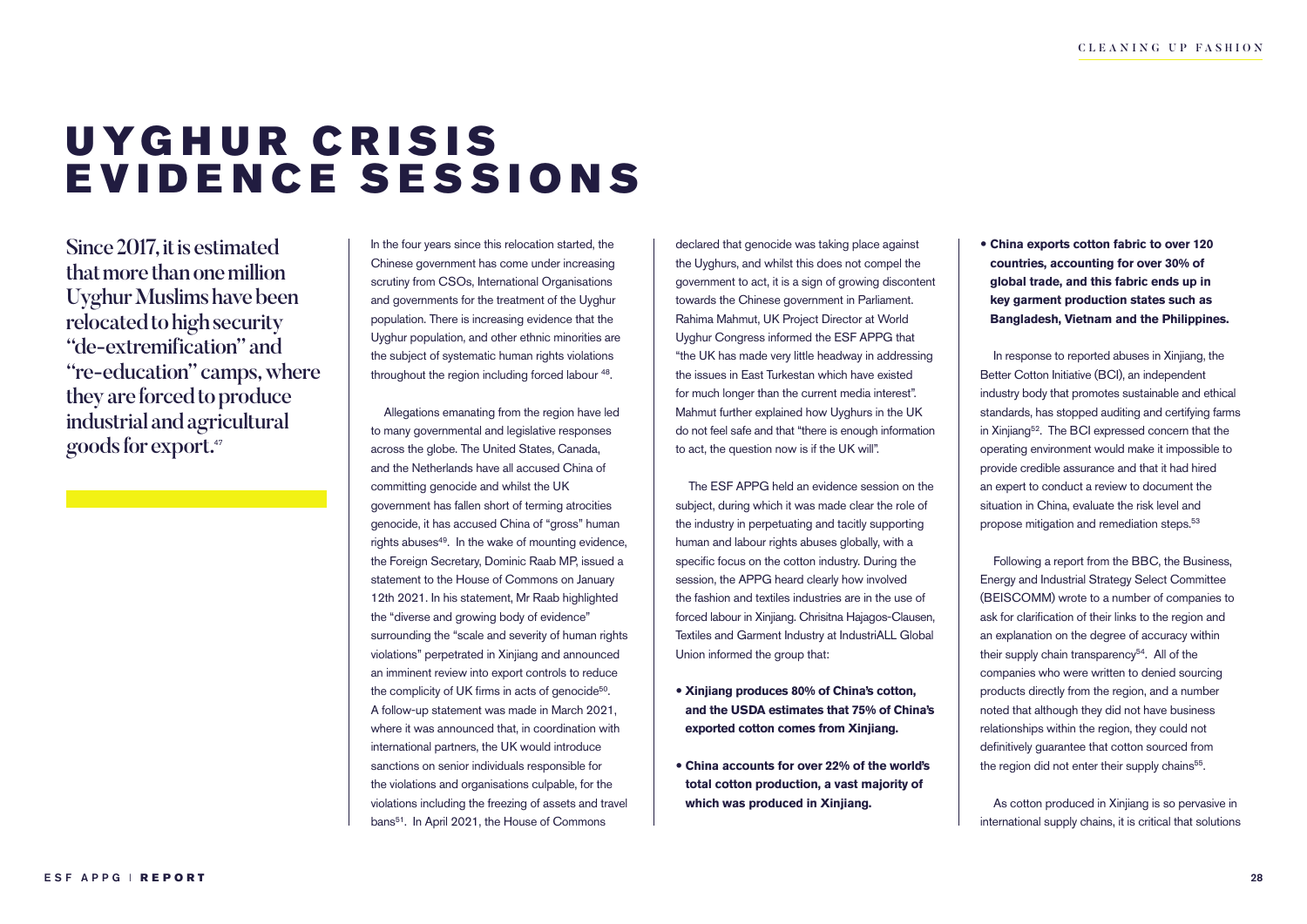## UYGHUR CRISIS EVIDENCE SESSIONS

Since 2017, it is estimated that more than one million Uyghur Muslims have been relocated to high security "de-extremification" and "re-education" camps, where they are forced to produce industrial and agricultural goods for export.47

In the four years since this relocation started, the Chinese government has come under increasing scrutiny from CSOs, International Organisations and governments for the treatment of the Uyghur population. There is increasing evidence that the Uyghur population, and other ethnic minorities are the subject of systematic human rights violations throughout the region including forced labour 48.

Allegations emanating from the region have led to many governmental and legislative responses across the globe. The United States, Canada, and the Netherlands have all accused China of committing genocide and whilst the UK government has fallen short of terming atrocities genocide, it has accused China of "gross" human rights abuses<sup>49</sup>. In the wake of mounting evidence, the Foreign Secretary, Dominic Raab MP, issued a statement to the House of Commons on January 12th 2021. In his statement, Mr Raab highlighted the "diverse and growing body of evidence" surrounding the "scale and severity of human rights violations" perpetrated in Xinjiang and announced an imminent review into export controls to reduce the complicity of UK firms in acts of genocide<sup>50</sup>. A follow-up statement was made in March 2021, where it was announced that, in coordination with international partners, the UK would introduce sanctions on senior individuals responsible for the violations and organisations culpable, for the violations including the freezing of assets and travel bans<sup>51</sup>. In April 2021, the House of Commons

declared that genocide was taking place against the Uyghurs, and whilst this does not compel the government to act, it is a sign of growing discontent towards the Chinese government in Parliament. Rahima Mahmut, UK Project Director at World Uyghur Congress informed the ESF APPG that "the UK has made very little headway in addressing the issues in East Turkestan which have existed for much longer than the current media interest". Mahmut further explained how Uyghurs in the UK do not feel safe and that "there is enough information to act, the question now is if the UK will".

The ESF APPG held an evidence session on the subject, during which it was made clear the role of the industry in perpetuating and tacitly supporting human and labour rights abuses globally, with a specific focus on the cotton industry. During the session, the APPG heard clearly how involved the fashion and textiles industries are in the use of forced labour in Xinjiang. Chrisitna Hajagos-Clausen, Textiles and Garment Industry at IndustriALL Global Union informed the group that:

- **Xinjiang produces 80% of China's cotton, and the USDA estimates that 75% of China's exported cotton comes from Xinjiang.**
- **China accounts for over 22% of the world's total cotton production, a vast majority of which was produced in Xinjiang.**

 **China exports cotton fabric to over 120 countries, accounting for over 30% of global trade, and this fabric ends up in key garment production states such as Bangladesh, Vietnam and the Philippines.**

In response to reported abuses in Xinjiang, the Better Cotton Initiative (BCI), an independent industry body that promotes sustainable and ethical standards, has stopped auditing and certifying farms in Xinjiang52. The BCI expressed concern that the operating environment would make it impossible to provide credible assurance and that it had hired an expert to conduct a review to document the situation in China, evaluate the risk level and propose mitigation and remediation steps.53

Following a report from the BBC, the Business, Energy and Industrial Strategy Select Committee (BEISCOMM) wrote to a number of companies to ask for clarification of their links to the region and an explanation on the degree of accuracy within their supply chain transparency<sup>54</sup>. All of the companies who were written to denied sourcing products directly from the region, and a number noted that although they did not have business relationships within the region, they could not definitively guarantee that cotton sourced from the region did not enter their supply chains<sup>55</sup>.

As cotton produced in Xinjiang is so pervasive in international supply chains, it is critical that solutions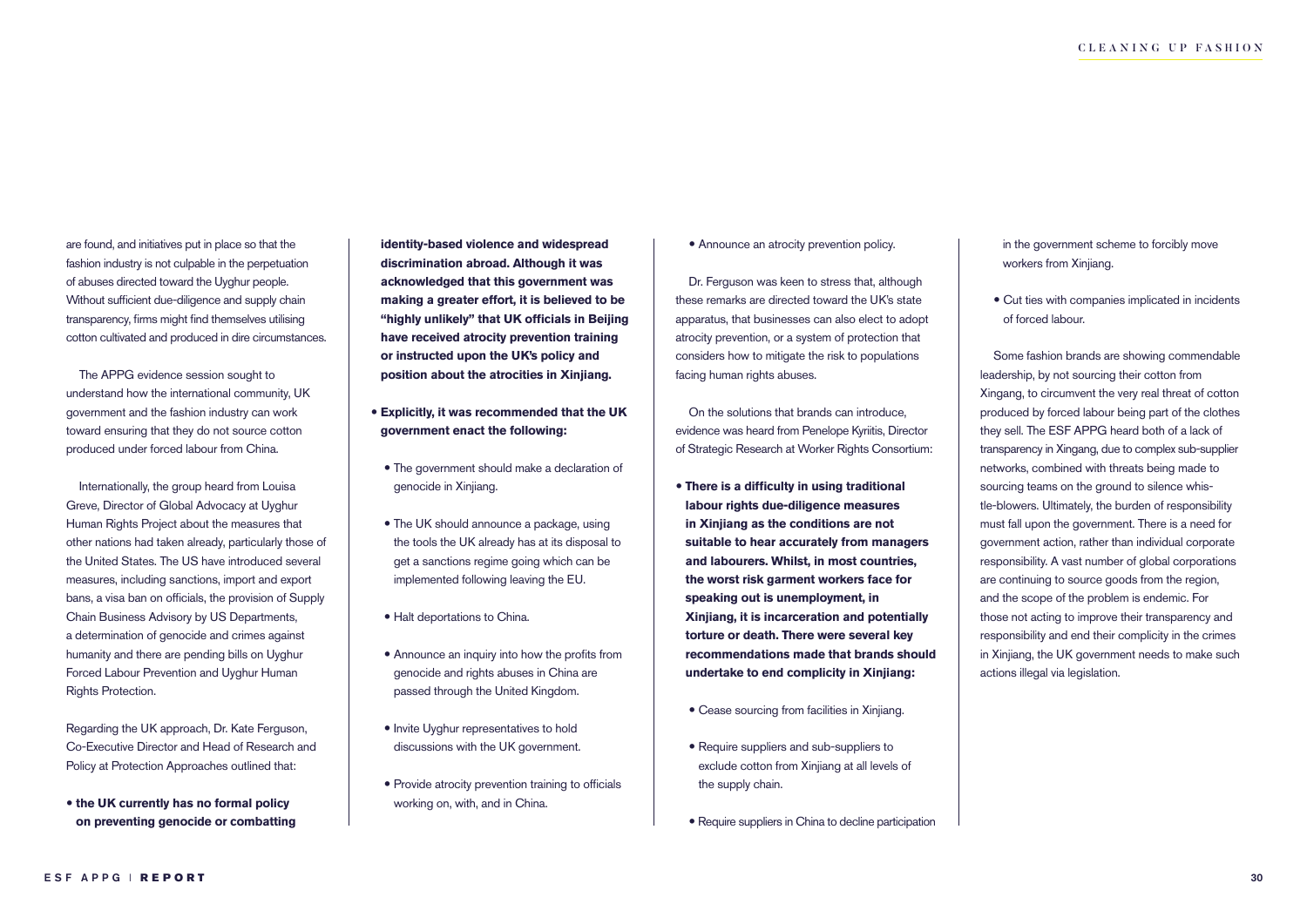are found, and initiatives put in place so that the fashion industry is not culpable in the perpetuation of abuses directed toward the Uyghur people. Without sufficient due-diligence and supply chain transparency, firms might find themselves utilising cotton cultivated and produced in dire circumstances.

The APPG evidence session sought to understand how the international community, UK government and the fashion industry can work toward ensuring that they do not source cotton produced under forced labour from China.

Internationally, the group heard from Louisa Greve, Director of Global Advocacy at Uyghur Human Rights Project about the measures that other nations had taken already, particularly those of the United States. The US have introduced several measures, including sanctions, import and export bans, a visa ban on officials, the provision of Supply Chain Business Advisory by US Departments, a determination of genocide and crimes against humanity and there are pending bills on Uyghur Forced Labour Prevention and Uyghur Human Rights Protection.

Regarding the UK approach, Dr. Kate Ferguson, Co-Executive Director and Head of Research and Policy at Protection Approaches outlined that:

 **the UK currently has no formal policy on preventing genocide or combatting** 

**identity-based violence and widespread discrimination abroad. Although it was acknowledged that this government was making a greater effort, it is believed to be "highly unlikely" that UK officials in Beijing have received atrocity prevention training or instructed upon the UK's policy and position about the atrocities in Xinjiang.** 

- **Explicitly, it was recommended that the UK government enact the following:**
- The government should make a declaration of genocide in Xinjiang.
- The UK should announce a package, using the tools the UK already has at its disposal to get a sanctions regime going which can be implemented following leaving the EU.
- Halt deportations to China.
- Announce an inquiry into how the profits from genocide and rights abuses in China are passed through the United Kingdom.
- Invite Uyghur representatives to hold discussions with the UK government.
- Provide atrocity prevention training to officials working on, with, and in China.

#### Announce an atrocity prevention policy.

Dr. Ferguson was keen to stress that, although these remarks are directed toward the UK's state apparatus, that businesses can also elect to adopt atrocity prevention, or a system of protection that considers how to mitigate the risk to populations facing human rights abuses.

On the solutions that brands can introduce, evidence was heard from Penelope Kyriitis, Director of Strategic Research at Worker Rights Consortium:

- **There is a difficulty in using traditional labour rights due-diligence measures in Xinjiang as the conditions are not suitable to hear accurately from managers and labourers. Whilst, in most countries, the worst risk garment workers face for speaking out is unemployment, in Xinjiang, it is incarceration and potentially torture or death. There were several key recommendations made that brands should undertake to end complicity in Xinjiang:**
- Cease sourcing from facilities in Xinjiang.
- Require suppliers and sub-suppliers to exclude cotton from Xinjiang at all levels of the supply chain.
- Require suppliers in China to decline participation
- in the government scheme to forcibly move workers from Xinjiang.
- Cut ties with companies implicated in incidents of forced labour.

Some fashion brands are showing commendable leadership, by not sourcing their cotton from Xingang, to circumvent the very real threat of cotton produced by forced labour being part of the clothes they sell. The ESF APPG heard both of a lack of transparency in Xingang, due to complex sub-supplier networks, combined with threats being made to sourcing teams on the ground to silence whistle-blowers. Ultimately, the burden of responsibility must fall upon the government. There is a need for government action, rather than individual corporate responsibility. A vast number of global corporations are continuing to source goods from the region, and the scope of the problem is endemic. For those not acting to improve their transparency and responsibility and end their complicity in the crimes in Xinjiang, the UK government needs to make such actions illegal via legislation.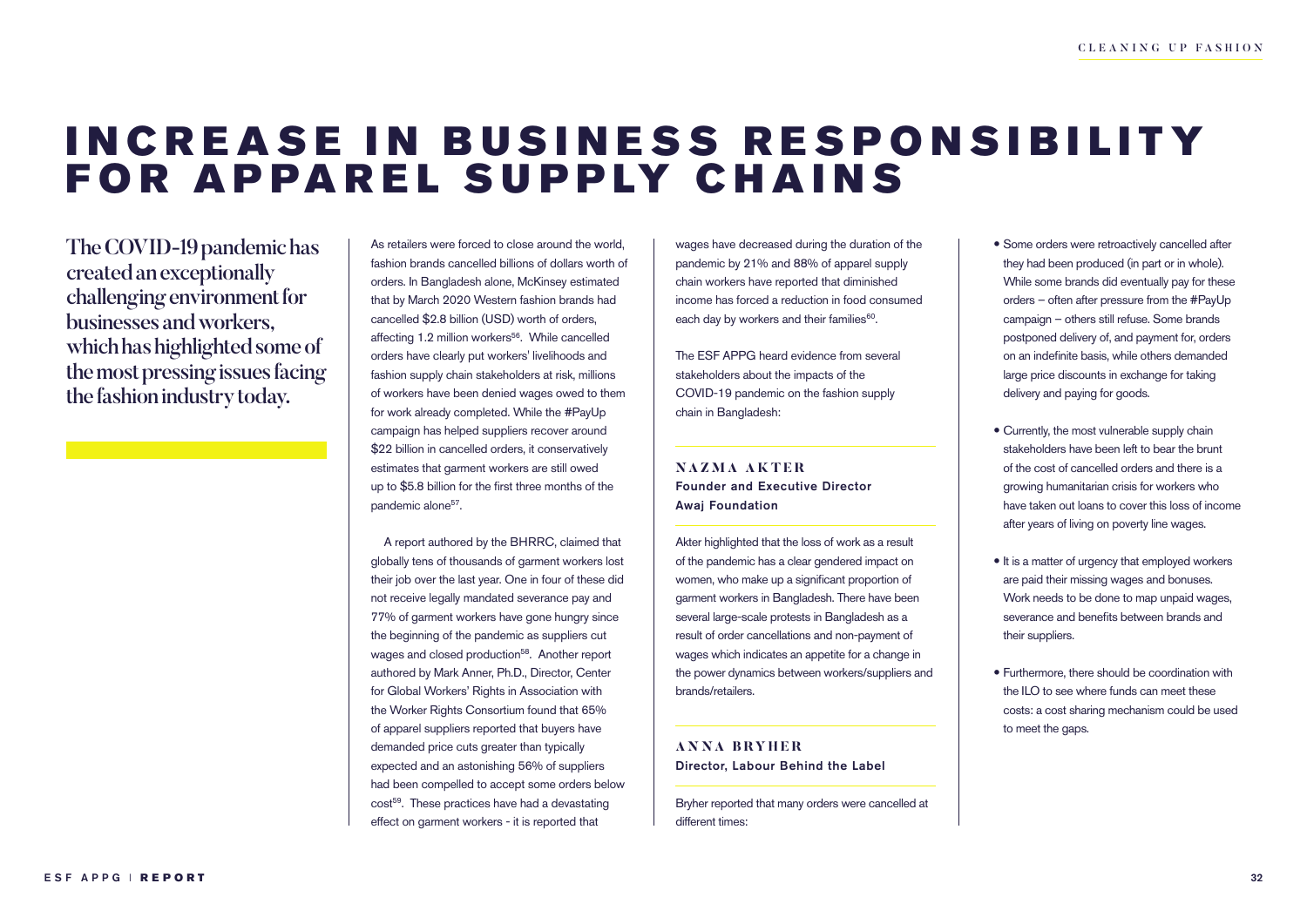### INCREASE IN BUSINESS RESPONSIBILITY FOR APPAREL SUPPLY CHAINS

The COVID-19 pandemic has created an exceptionally challenging environment for businesses and workers, which has highlighted some of the most pressing issues facing the fashion industry today.

As retailers were forced to close around the world, fashion brands cancelled billions of dollars worth of orders. In Bangladesh alone, McKinsey estimated that by March 2020 Western fashion brands had cancelled \$2.8 billion (USD) worth of orders, affecting 1.2 million workers<sup>56</sup>. While cancelled orders have clearly put workers' livelihoods and fashion supply chain stakeholders at risk, millions of workers have been denied wages owed to them for work already completed. While the #PayUp campaign has helped suppliers recover around \$22 billion in cancelled orders, it conservatively estimates that garment workers are still owed up to \$5.8 billion for the first three months of the pandemic alone<sup>57</sup>.

A report authored by the BHRRC, claimed that globally tens of thousands of garment workers lost their job over the last year. One in four of these did not receive legally mandated severance pay and 77% of garment workers have gone hungry since the beginning of the pandemic as suppliers cut wages and closed production<sup>58</sup>. Another report authored by Mark Anner, Ph.D., Director, Center for Global Workers' Rights in Association with the Worker Rights Consortium found that 65% of apparel suppliers reported that buyers have demanded price cuts greater than typically expected and an astonishing 56% of suppliers had been compelled to accept some orders below cost<sup>59</sup>. These practices have had a devastating effect on garment workers - it is reported that

wages have decreased during the duration of the pandemic by 21% and 88% of apparel supply chain workers have reported that diminished income has forced a reduction in food consumed each day by workers and their families<sup>60</sup>.

The ESF APPG heard evidence from several stakeholders about the impacts of the COVID-19 pandemic on the fashion supply chain in Bangladesh:

#### **NAZMA AKTER** Founder and Executive Director Awaj Foundation

Akter highlighted that the loss of work as a result of the pandemic has a clear gendered impact on women, who make up a significant proportion of garment workers in Bangladesh. There have been several large-scale protests in Bangladesh as a result of order cancellations and non-payment of wages which indicates an appetite for a change in the power dynamics between workers/suppliers and brands/retailers.

#### **ANNA BRYHER** Director, Labour Behind the Label

Bryher reported that many orders were cancelled at different times:

- Some orders were retroactively cancelled after they had been produced (in part or in whole). While some brands did eventually pay for these orders – often after pressure from the #PayUp campaign – others still refuse. Some brands postponed delivery of, and payment for, orders on an indefinite basis, while others demanded large price discounts in exchange for taking delivery and paying for goods.
- Currently, the most vulnerable supply chain stakeholders have been left to bear the brunt of the cost of cancelled orders and there is a growing humanitarian crisis for workers who have taken out loans to cover this loss of income after years of living on poverty line wages.
- $\bullet$  It is a matter of urgency that employed workers are paid their missing wages and bonuses. Work needs to be done to map unpaid wages, severance and benefits between brands and their suppliers.
- Furthermore, there should be coordination with the ILO to see where funds can meet these costs: a cost sharing mechanism could be used to meet the gaps.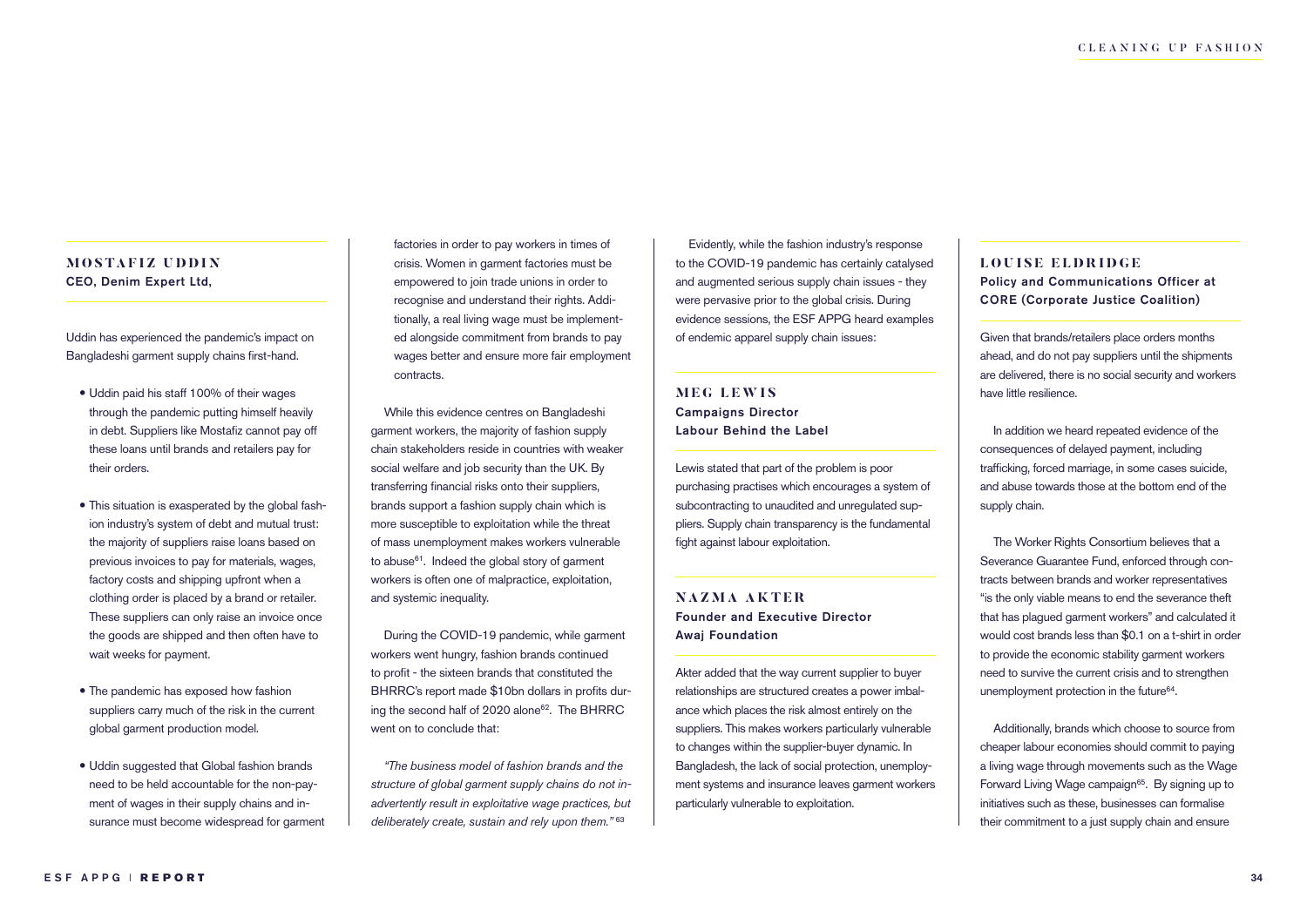#### **MOSTAFIZ UDDIN** CEO, Denim Expert Ltd,

Uddin has experienced the pandemic's impact on Bangladeshi garment supply chains first-hand.

- Uddin paid his staff 100% of their wages through the pandemic putting himself heavily in debt. Suppliers like Mostafiz cannot pay off these loans until brands and retailers pay for their orders.
- This situation is exasperated by the global fashion industry's system of debt and mutual trust: the majority of suppliers raise loans based on previous invoices to pay for materials, wages, factory costs and shipping upfront when a clothing order is placed by a brand or retailer. These suppliers can only raise an invoice once the goods are shipped and then often have to wait weeks for payment.
- The pandemic has exposed how fashion suppliers carry much of the risk in the current global garment production model.
- Uddin suggested that Global fashion brands need to be held accountable for the non-payment of wages in their supply chains and insurance must become widespread for garment

factories in order to pay workers in times of crisis. Women in garment factories must be empowered to join trade unions in order to recognise and understand their rights. Additionally, a real living wage must be implemented alongside commitment from brands to pay wages better and ensure more fair employment contracts.

While this evidence centres on Bangladeshi garment workers, the majority of fashion supply chain stakeholders reside in countries with weaker social welfare and job security than the UK. By transferring financial risks onto their suppliers, brands support a fashion supply chain which is more susceptible to exploitation while the threat of mass unemployment makes workers vulnerable to abuse<sup>61</sup>. Indeed the global story of garment workers is often one of malpractice, exploitation, and systemic inequality.

During the COVID-19 pandemic, while garment workers went hungry, fashion brands continued to profit - the sixteen brands that constituted the BHRRC's report made \$10bn dollars in profits during the second half of 2020 alone<sup>62</sup>. The BHRRC went on to conclude that:

*"The business model of fashion brands and the structure of global garment supply chains do not inadvertently result in exploitative wage practices, but deliberately create, sustain and rely upon them."* <sup>63</sup>

Evidently, while the fashion industry's response to the COVID-19 pandemic has certainly catalysed and augmented serious supply chain issues - they were pervasive prior to the global crisis. During evidence sessions, the ESF APPG heard examples of endemic apparel supply chain issues:

#### **MEG LEWIS** Campaigns Director Labour Behind the Label

Lewis stated that part of the problem is poor purchasing practises which encourages a system of subcontracting to unaudited and unregulated suppliers. Supply chain transparency is the fundamental fight against labour exploitation.

**NAZMA AKTER** Founder and Executive Director Awaj Foundation

Akter added that the way current supplier to buyer relationships are structured creates a power imbalance which places the risk almost entirely on the suppliers. This makes workers particularly vulnerable to changes within the supplier-buyer dynamic. In Bangladesh, the lack of social protection, unemployment systems and insurance leaves garment workers particularly vulnerable to exploitation.

#### **LOUISE ELDRIDGE**

Policy and Communications Officer at CORE (Corporate Justice Coalition)

Given that brands/retailers place orders months ahead, and do not pay suppliers until the shipments are delivered, there is no social security and workers have little resilience.

In addition we heard repeated evidence of the consequences of delayed payment, including trafficking, forced marriage, in some cases suicide, and abuse towards those at the bottom end of the supply chain.

The Worker Rights Consortium believes that a Severance Guarantee Fund, enforced through contracts between brands and worker representatives "is the only viable means to end the severance theft that has plagued garment workers" and calculated it would cost brands less than \$0.1 on a t-shirt in order to provide the economic stability garment workers need to survive the current crisis and to strengthen unemployment protection in the future<sup>64</sup>.

Additionally, brands which choose to source from cheaper labour economies should commit to paying a living wage through movements such as the Wage Forward Living Wage campaign<sup>65</sup>. By signing up to initiatives such as these, businesses can formalise their commitment to a just supply chain and ensure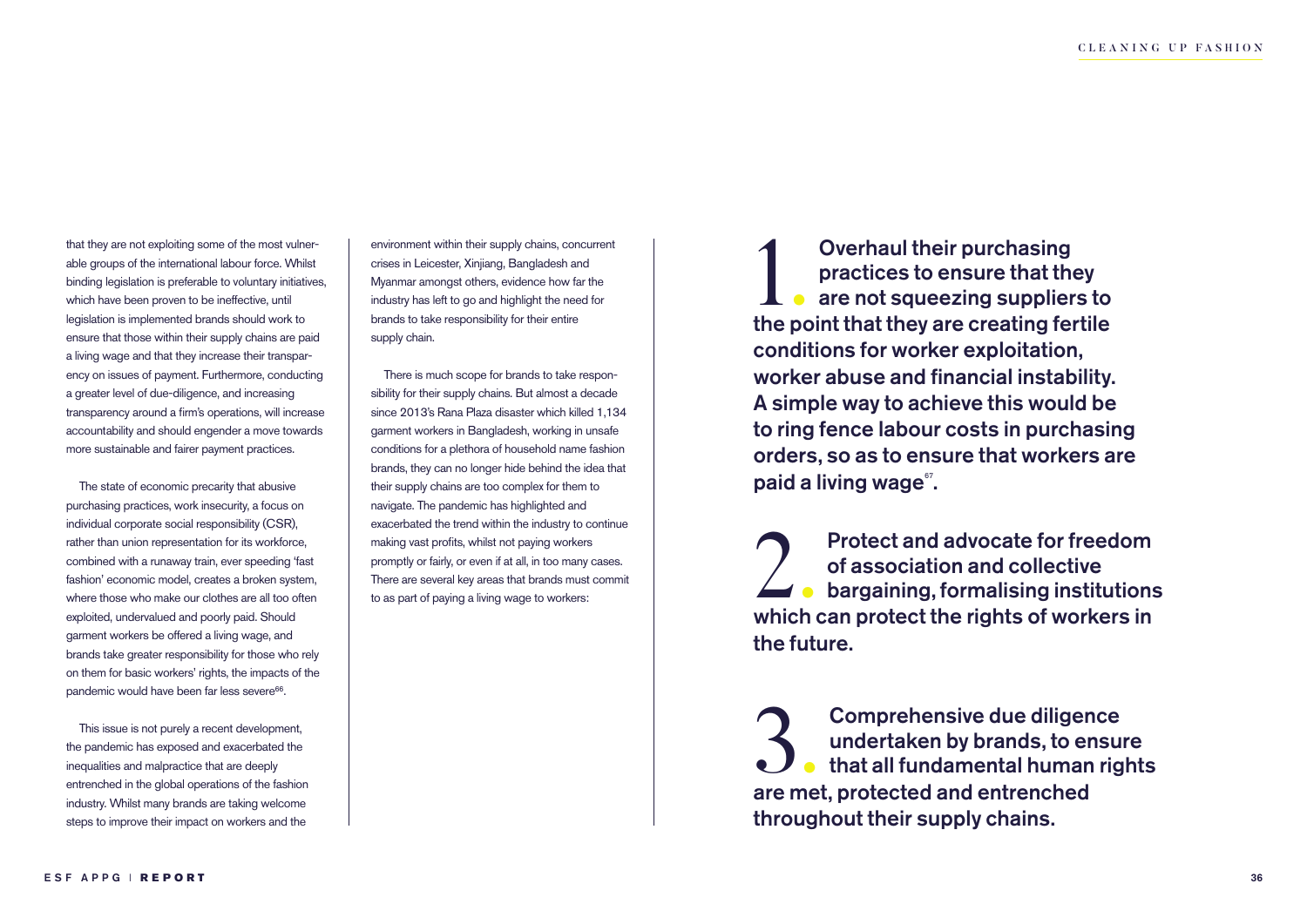that they are not exploiting some of the most vulnerable groups of the international labour force. Whilst binding legislation is preferable to voluntary initiatives, which have been proven to be ineffective, until legislation is implemented brands should work to ensure that those within their supply chains are paid a living wage and that they increase their transparency on issues of payment. Furthermore, conducting a greater level of due-diligence, and increasing transparency around a firm's operations, will increase accountability and should engender a move towards more sustainable and fairer payment practices.

The state of economic precarity that abusive purchasing practices, work insecurity, a focus on individual corporate social responsibility (CSR), rather than union representation for its workforce, combined with a runaway train, ever speeding 'fast fashion' economic model, creates a broken system, where those who make our clothes are all too often exploited, undervalued and poorly paid. Should garment workers be offered a living wage, and brands take greater responsibility for those who rely on them for basic workers' rights, the impacts of the pandemic would have been far less severe<sup>66</sup>.

This issue is not purely a recent development, the pandemic has exposed and exacerbated the inequalities and malpractice that are deeply entrenched in the global operations of the fashion industry. Whilst many brands are taking welcome steps to improve their impact on workers and the

environment within their supply chains, concurrent crises in Leicester, Xinjiang, Bangladesh and Myanmar amongst others, evidence how far the industry has left to go and highlight the need for brands to take responsibility for their entire supply chain.

There is much scope for brands to take responsibility for their supply chains. But almost a decade since 2013's Rana Plaza disaster which killed 1,134 garment workers in Bangladesh, working in unsafe conditions for a plethora of household name fashion brands, they can no longer hide behind the idea that their supply chains are too complex for them to navigate. The pandemic has highlighted and exacerbated the trend within the industry to continue making vast profits, whilst not paying workers promptly or fairly, or even if at all, in too many cases. There are several key areas that brands must commit to as part of paying a living wage to workers:

**1.** Overhaul their purchasing<br>practices to ensure that they<br>are not squeezing suppliers to<br>the point that they are creating fertile Overhaul their purchasing practices to ensure that they  $\Box$  are not squeezing suppliers to conditions for worker exploitation, worker abuse and financial instability. A simple way to achieve this would be to ring fence labour costs in purchasing orders, so as to ensure that workers are paid a living wage<sup>®</sup>.

Protect and advocate for freedom<br>of association and collective<br>which can protect the rights of workers in Protect and advocate for freedom of association and collective bargaining, formalising institutions the future.

**3.** Comprehensive due diligen<br>undertaken by brands, to en<br>are met, protected and entrenched Comprehensive due diligence undertaken by brands, to ensure **that all fundamental human rights** throughout their supply chains.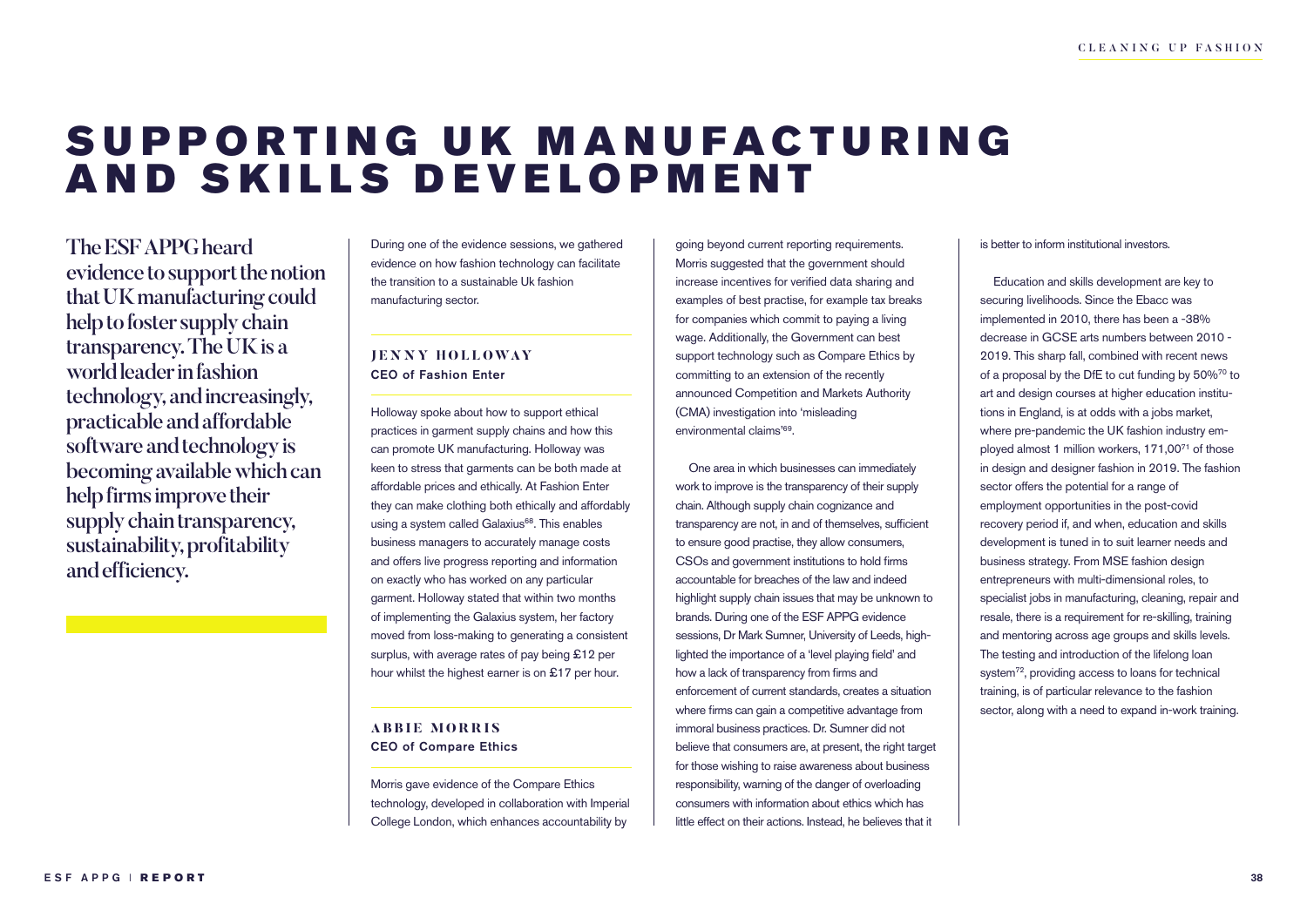### SUPPORTING UK MANUFACTURING AND SKILLS DEVELOPMENT

The ESF APPG heard evidence to support the notion that UK manufacturing could help to foster supply chain transparency. The UK is a world leader in fashion technology, and increasingly, practicable and affordable software and technology is becoming available which can help firms improve their supply chain transparency, sustainability, profitability and efficiency.

During one of the evidence sessions, we gathered evidence on how fashion technology can facilitate the transition to a sustainable Uk fashion manufacturing sector.

#### **JEN N Y HOLLOWAY** CEO of Fashion Enter

Holloway spoke about how to support ethical practices in garment supply chains and how this can promote UK manufacturing. Holloway was keen to stress that garments can be both made at affordable prices and ethically. At Fashion Enter they can make clothing both ethically and affordably using a system called Galaxius<sup>68</sup>. This enables business managers to accurately manage costs and offers live progress reporting and information on exactly who has worked on any particular garment. Holloway stated that within two months of implementing the Galaxius system, her factory moved from loss-making to generating a consistent surplus, with average rates of pay being £12 per hour whilst the highest earner is on £17 per hour.

#### **ABBIE MORRIS** CEO of Compare Ethics

Morris gave evidence of the Compare Ethics technology, developed in collaboration with Imperial College London, which enhances accountability by

going beyond current reporting requirements. Morris suggested that the government should increase incentives for verified data sharing and examples of best practise, for example tax breaks for companies which commit to paying a living wage. Additionally, the Government can best support technology such as Compare Ethics by committing to an extension of the recently announced Competition and Markets Authority (CMA) investigation into 'misleading environmental claims'69.

One area in which businesses can immediately work to improve is the transparency of their supply chain. Although supply chain cognizance and transparency are not, in and of themselves, sufficient to ensure good practise, they allow consumers, CSOs and government institutions to hold firms accountable for breaches of the law and indeed highlight supply chain issues that may be unknown to brands. During one of the ESF APPG evidence sessions, Dr Mark Sumner, University of Leeds, highlighted the importance of a 'level playing field' and how a lack of transparency from firms and enforcement of current standards, creates a situation where firms can gain a competitive advantage from immoral business practices. Dr. Sumner did not believe that consumers are, at present, the right target for those wishing to raise awareness about business responsibility, warning of the danger of overloading consumers with information about ethics which has little effect on their actions. Instead, he believes that it

#### is better to inform institutional investors.

Education and skills development are key to securing livelihoods. Since the Ebacc was implemented in 2010, there has been a -38% decrease in GCSE arts numbers between 2010 - 2019. This sharp fall, combined with recent news of a proposal by the DfE to cut funding by 50%70 to art and design courses at higher education institutions in England, is at odds with a jobs market, where pre-pandemic the UK fashion industry employed almost 1 million workers, 171,0071 of those in design and designer fashion in 2019. The fashion sector offers the potential for a range of employment opportunities in the post-covid recovery period if, and when, education and skills development is tuned in to suit learner needs and business strategy. From MSE fashion design entrepreneurs with multi-dimensional roles, to specialist jobs in manufacturing, cleaning, repair and resale, there is a requirement for re-skilling, training and mentoring across age groups and skills levels. The testing and introduction of the lifelong loan system<sup>72</sup>, providing access to loans for technical training, is of particular relevance to the fashion sector, along with a need to expand in-work training.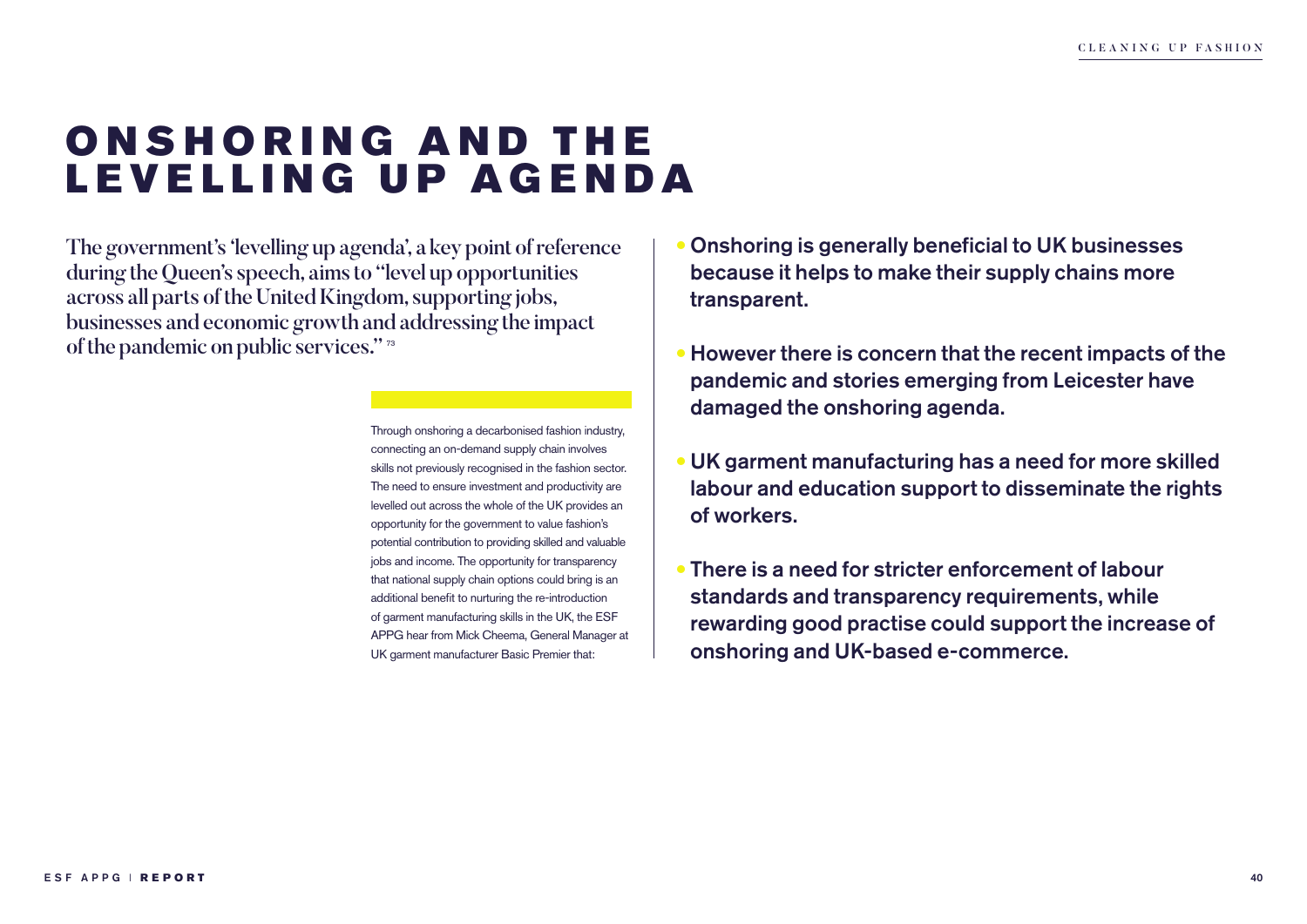### ONSHORING AND THE LEVELLING UP AGENDA

The government's 'levelling up agenda', a key point of reference during the Queen's speech, aims to "level up opportunities across all parts of the United Kingdom, supporting jobs, businesses and economic growth and addressing the impact of the pandemic on public services." <sup>73</sup>

> Through onshoring a decarbonised fashion industry, connecting an on-demand supply chain involves skills not previously recognised in the fashion sector. The need to ensure investment and productivity are levelled out across the whole of the UK provides an opportunity for the government to value fashion's potential contribution to providing skilled and valuable jobs and income. The opportunity for transparency that national supply chain options could bring is an additional benefit to nurturing the re-introduction of garment manufacturing skills in the UK, the ESF APPG hear from Mick Cheema, General Manager at UK garment manufacturer Basic Premier that:

- Onshoring is generally beneficial to UK businesses because it helps to make their supply chains more transparent.
- However there is concern that the recent impacts of the pandemic and stories emerging from Leicester have damaged the onshoring agenda.
- UK garment manufacturing has a need for more skilled labour and education support to disseminate the rights of workers.
- There is a need for stricter enforcement of labour standards and transparency requirements, while rewarding good practise could support the increase of onshoring and UK-based e-commerce.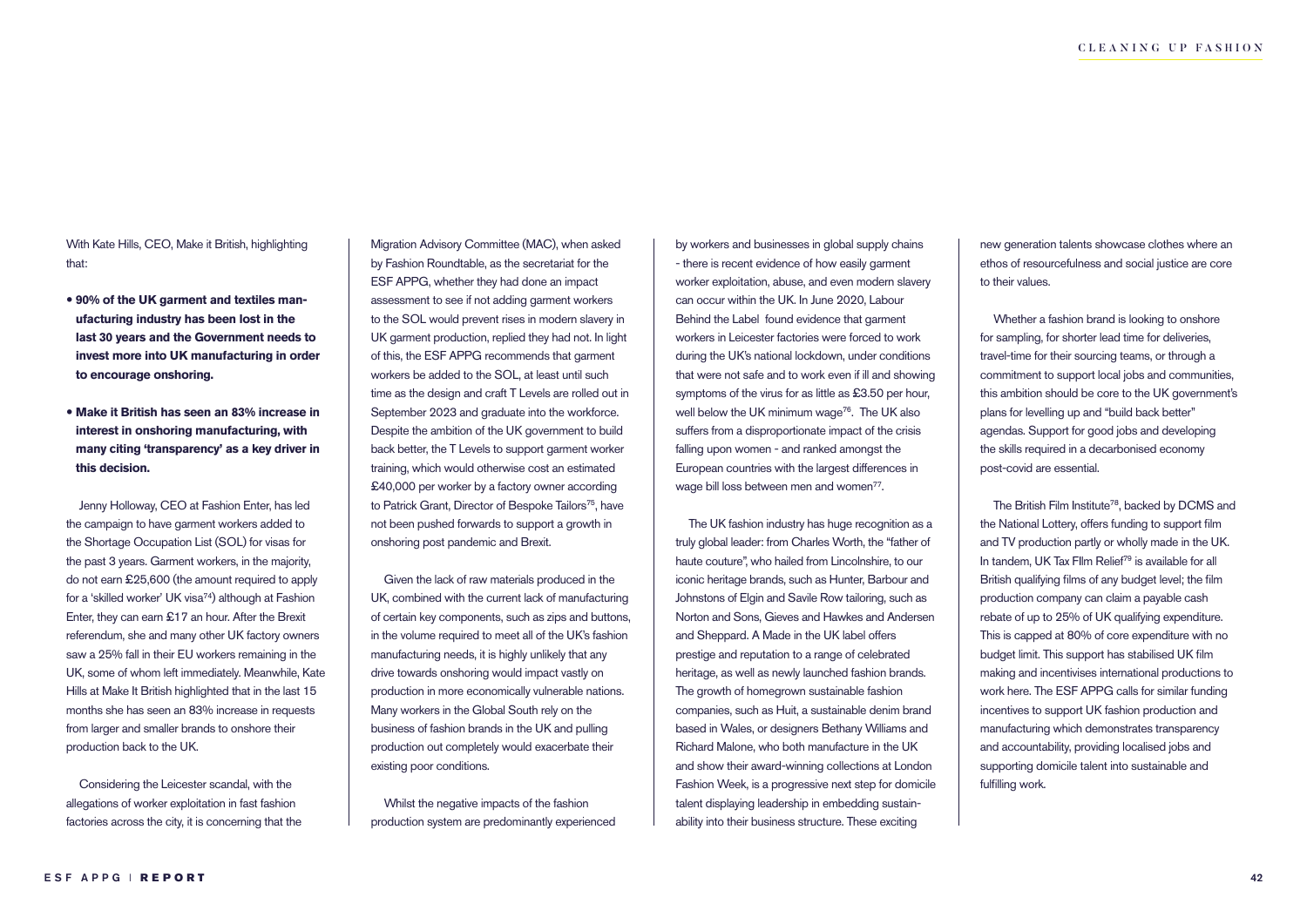With Kate Hills, CEO, Make it British, highlighting that:

- **90% of the UK garment and textiles manufacturing industry has been lost in the last 30 years and the Government needs to invest more into UK manufacturing in order to encourage onshoring.**
- **Make it British has seen an 83% increase in interest in onshoring manufacturing, with many citing 'transparency' as a key driver in this decision.**

Jenny Holloway, CEO at Fashion Enter, has led the campaign to have garment workers added to the Shortage Occupation List (SOL) for visas for the past 3 years. Garment workers, in the majority, do not earn £25,600 (the amount required to apply for a 'skilled worker' UK visa<sup>74</sup>) although at Fashion Enter, they can earn £17 an hour. After the Brexit referendum, she and many other UK factory owners saw a 25% fall in their EU workers remaining in the UK, some of whom left immediately. Meanwhile, Kate Hills at Make It British highlighted that in the last 15 months she has seen an 83% increase in requests from larger and smaller brands to onshore their production back to the UK.

Considering the Leicester scandal, with the allegations of worker exploitation in fast fashion factories across the city, it is concerning that the Migration Advisory Committee (MAC), when asked by Fashion Roundtable, as the secretariat for the ESF APPG, whether they had done an impact assessment to see if not adding garment workers to the SOL would prevent rises in modern slavery in UK garment production, replied they had not. In light of this, the ESF APPG recommends that garment workers be added to the SOL, at least until such time as the design and craft T Levels are rolled out in September 2023 and graduate into the workforce. Despite the ambition of the UK government to build back better, the T Levels to support garment worker training, which would otherwise cost an estimated £40,000 per worker by a factory owner according to Patrick Grant, Director of Bespoke Tailors<sup>75</sup>, have not been pushed forwards to support a growth in onshoring post pandemic and Brexit.

Given the lack of raw materials produced in the UK, combined with the current lack of manufacturing of certain key components, such as zips and buttons, in the volume required to meet all of the UK's fashion manufacturing needs, it is highly unlikely that any drive towards onshoring would impact vastly on production in more economically vulnerable nations. Many workers in the Global South rely on the business of fashion brands in the UK and pulling production out completely would exacerbate their existing poor conditions.

Whilst the negative impacts of the fashion production system are predominantly experienced by workers and businesses in global supply chains - there is recent evidence of how easily garment worker exploitation, abuse, and even modern slavery can occur within the UK. In June 2020, Labour Behind the Label found evidence that garment workers in Leicester factories were forced to work during the UK's national lockdown, under conditions that were not safe and to work even if ill and showing symptoms of the virus for as little as £3.50 per hour, well below the UK minimum wage<sup>76</sup>. The UK also suffers from a disproportionate impact of the crisis falling upon women - and ranked amongst the European countries with the largest differences in wage bill loss between men and women<sup>77</sup>.

The UK fashion industry has huge recognition as a truly global leader: from Charles Worth, the "father of haute couture", who hailed from Lincolnshire, to our iconic heritage brands, such as Hunter, Barbour and Johnstons of Elgin and Savile Row tailoring, such as Norton and Sons, Gieves and Hawkes and Andersen and Sheppard. A Made in the UK label offers prestige and reputation to a range of celebrated heritage, as well as newly launched fashion brands. The growth of homegrown sustainable fashion companies, such as Huit, a sustainable denim brand based in Wales, or designers Bethany Williams and Richard Malone, who both manufacture in the UK and show their award-winning collections at London Fashion Week, is a progressive next step for domicile talent displaying leadership in embedding sustainability into their business structure. These exciting

new generation talents showcase clothes where an ethos of resourcefulness and social justice are core to their values.

Whether a fashion brand is looking to onshore for sampling, for shorter lead time for deliveries, travel-time for their sourcing teams, or through a commitment to support local jobs and communities, this ambition should be core to the UK government's plans for levelling up and "build back better" agendas. Support for good jobs and developing the skills required in a decarbonised economy post-covid are essential.

The British Film Institute<sup>78</sup>, backed by DCMS and the National Lottery, offers funding to support film and TV production partly or wholly made in the UK. In tandem, UK Tax FIlm Relief<sup>79</sup> is available for all British qualifying films of any budget level; the film production company can claim a payable cash rebate of up to 25% of UK qualifying expenditure. This is capped at 80% of core expenditure with no budget limit. This support has stabilised UK film making and incentivises international productions to work here. The ESF APPG calls for similar funding incentives to support UK fashion production and manufacturing which demonstrates transparency and accountability, providing localised jobs and supporting domicile talent into sustainable and fulfilling work.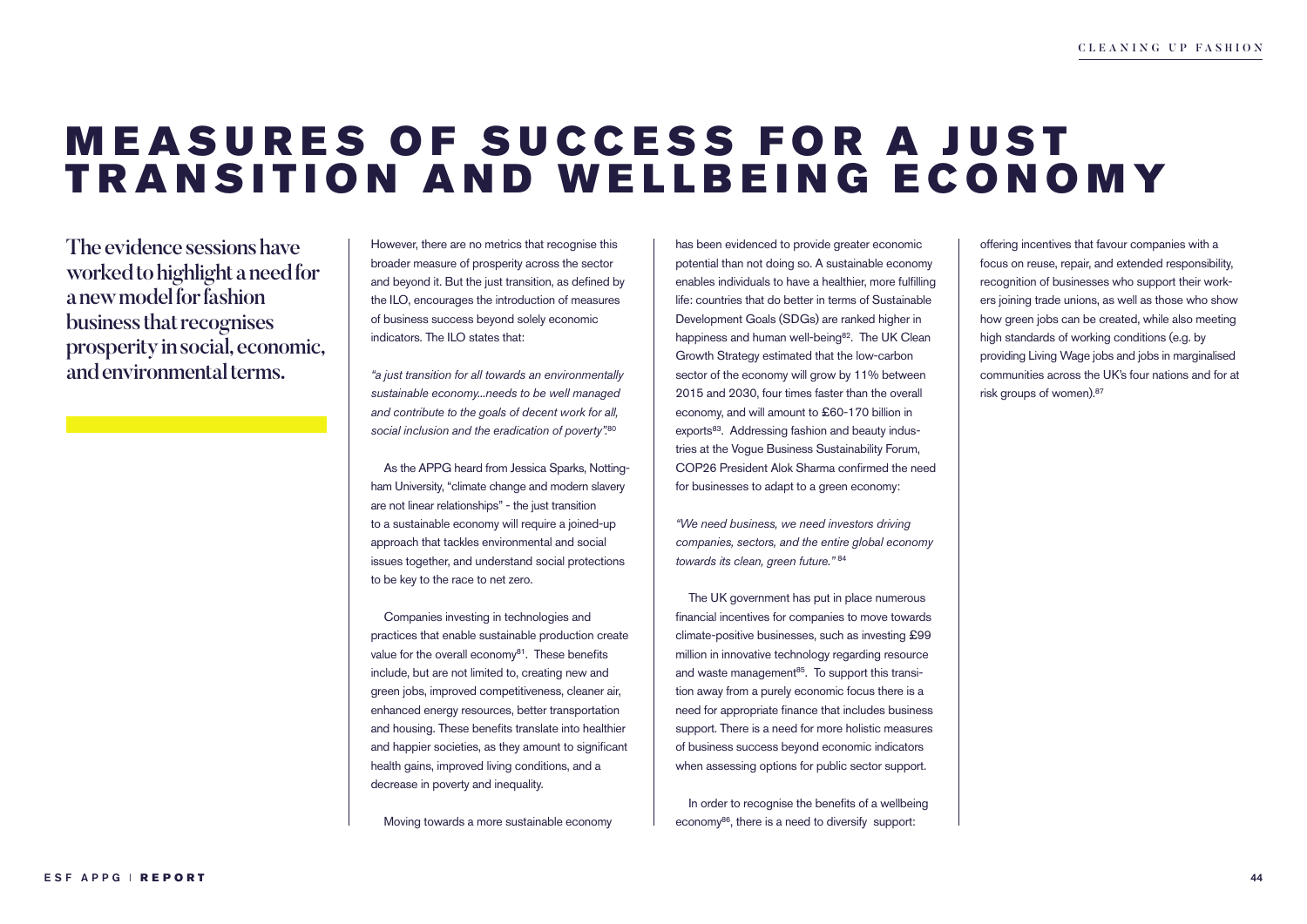### **MEASURES OF SUCCESS FOR A JUST** TRANSITION AND WELLBEING ECONOMY

The evidence sessions have worked to highlight a need for a new model for fashion business that recognises prosperity in social, economic, and environmental terms.

However, there are no metrics that recognise this broader measure of prosperity across the sector and beyond it. But the just transition, as defined by the ILO, encourages the introduction of measures of business success beyond solely economic indicators. The ILO states that:

*"a just transition for all towards an environmentally sustainable economy...needs to be well managed and contribute to the goals of decent work for all, social inclusion and the eradication of poverty".*<sup>80</sup>

As the APPG heard from Jessica Sparks, Nottingham University, "climate change and modern slavery are not linear relationships" - the just transition to a sustainable economy will require a joined-up approach that tackles environmental and social issues together, and understand social protections to be key to the race to net zero.

Companies investing in technologies and practices that enable sustainable production create value for the overall economy<sup>81</sup>. These benefits include, but are not limited to, creating new and green jobs, improved competitiveness, cleaner air, enhanced energy resources, better transportation and housing. These benefits translate into healthier and happier societies, as they amount to significant health gains, improved living conditions, and a decrease in poverty and inequality.

Moving towards a more sustainable economy

has been evidenced to provide greater economic potential than not doing so. A sustainable economy enables individuals to have a healthier, more fulfilling life: countries that do better in terms of Sustainable Development Goals (SDGs) are ranked higher in happiness and human well-being<sup>82</sup>. The UK Clean Growth Strategy estimated that the low-carbon sector of the economy will grow by 11% between 2015 and 2030, four times faster than the overall economy, and will amount to £60-170 billion in exports<sup>83</sup>. Addressing fashion and beauty industries at the Vogue Business Sustainability Forum, COP26 President Alok Sharma confirmed the need for businesses to adapt to a green economy:

*"We need business, we need investors driving companies, sectors, and the entire global economy towards its clean, green future."* <sup>84</sup>

The UK government has put in place numerous financial incentives for companies to move towards climate-positive businesses, such as investing £99 million in innovative technology regarding resource and waste management $85$ . To support this transition away from a purely economic focus there is a need for appropriate finance that includes business support. There is a need for more holistic measures of business success beyond economic indicators when assessing options for public sector support.

In order to recognise the benefits of a wellbeing economy<sup>86</sup>, there is a need to diversify support:

offering incentives that favour companies with a focus on reuse, repair, and extended responsibility, recognition of businesses who support their workers joining trade unions, as well as those who show how green jobs can be created, while also meeting high standards of working conditions (e.g. by providing Living Wage jobs and jobs in marginalised communities across the UK's four nations and for at risk groups of women).<sup>87</sup>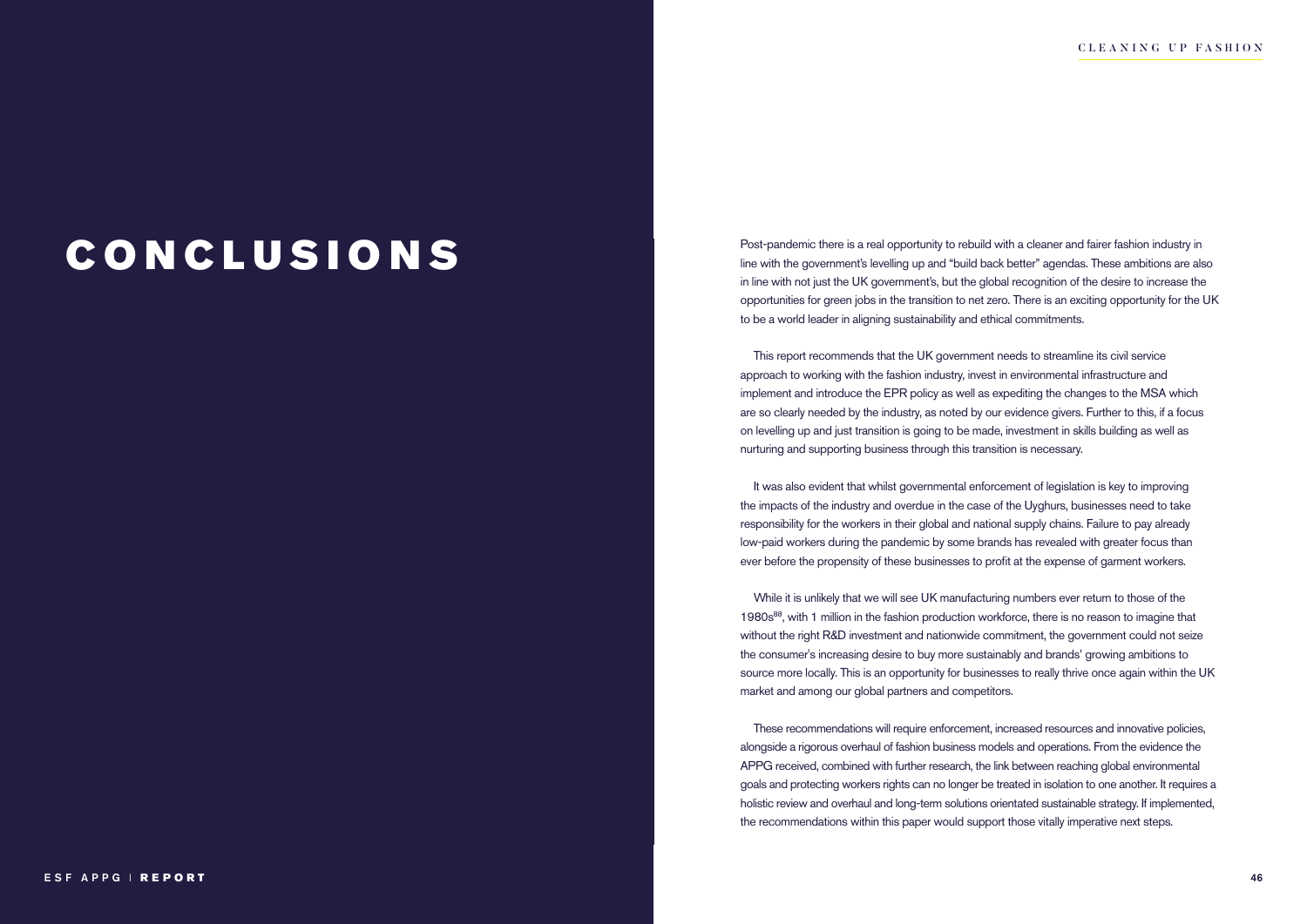Post-pandemic there is a real opportunity to rebuild with a cleaner and fairer fashion industry in Fig. 1.1 CONCLUSIONS ARE AND THE WITH A Cleaner and fairer fashion industry in line with the government's levelling up and "build back better" agendas. These ambitions are also in line with not just the UK government's, but the global recognition of the desire to increase the opportunities for green jobs in the transition to net zero. There is an exciting opportunity for the UK to be a world leader in aligning sustainability and ethical commitments.

> This report recommends that the UK government needs to streamline its civil service approach to working with the fashion industry, invest in environmental infrastructure and implement and introduce the EPR policy as well as expediting the changes to the MSA which are so clearly needed by the industry, as noted by our evidence givers. Further to this, if a focus on levelling up and just transition is going to be made, investment in skills building as well as nurturing and supporting business through this transition is necessary.

It was also evident that whilst governmental enforcement of legislation is key to improving the impacts of the industry and overdue in the case of the Uyghurs, businesses need to take responsibility for the workers in their global and national supply chains. Failure to pay already low-paid workers during the pandemic by some brands has revealed with greater focus than ever before the propensity of these businesses to profit at the expense of garment workers.

While it is unlikely that we will see UK manufacturing numbers ever return to those of the 1980s88, with 1 million in the fashion production workforce, there is no reason to imagine that without the right R&D investment and nationwide commitment, the government could not seize the consumer's increasing desire to buy more sustainably and brands' growing ambitions to source more locally. This is an opportunity for businesses to really thrive once again within the UK market and among our global partners and competitors.

These recommendations will require enforcement, increased resources and innovative policies, alongside a rigorous overhaul of fashion business models and operations. From the evidence the APPG received, combined with further research, the link between reaching global environmental goals and protecting workers rights can no longer be treated in isolation to one another. It requires a holistic review and overhaul and long-term solutions orientated sustainable strategy. If implemented, the recommendations within this paper would support those vitally imperative next steps.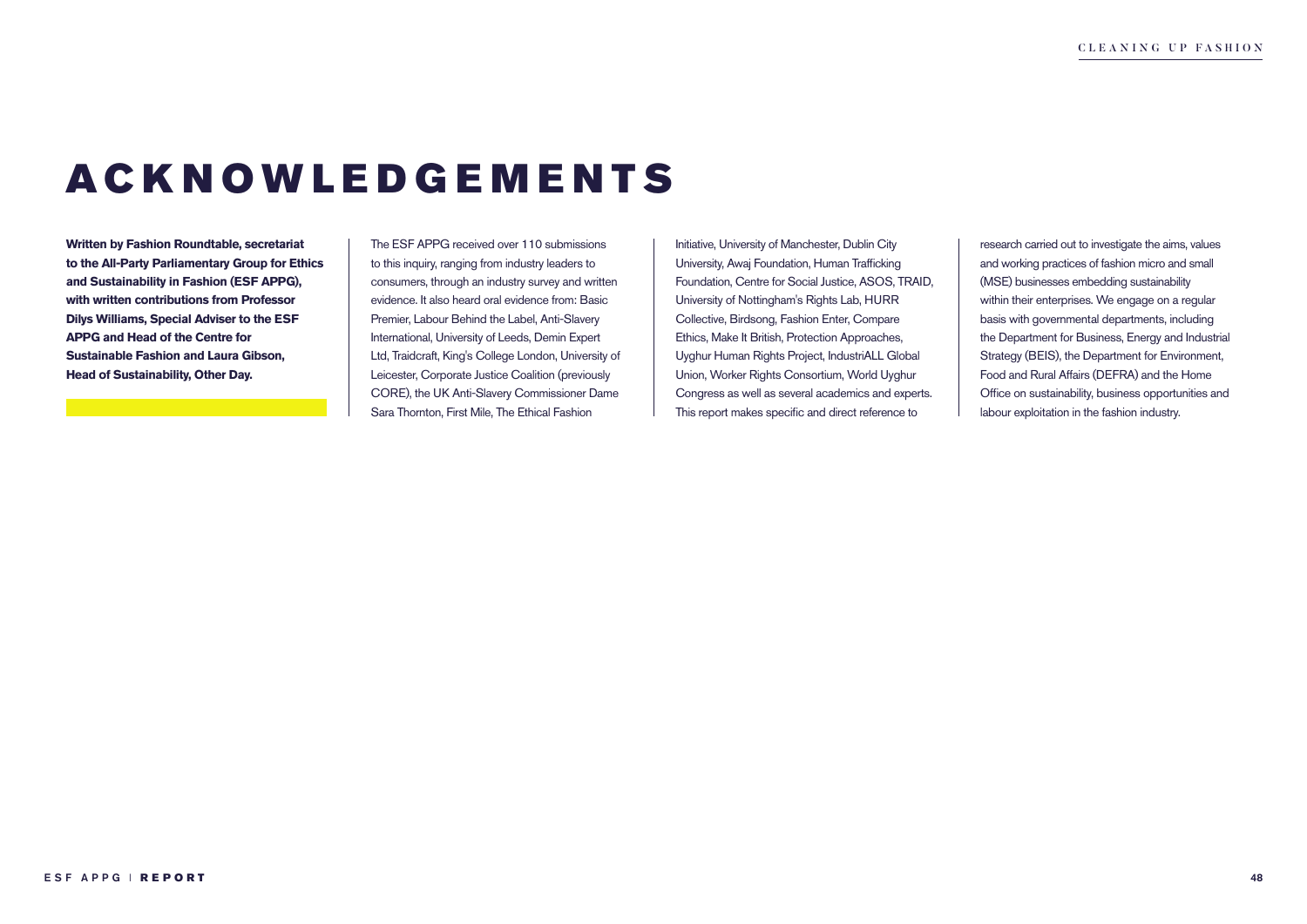# ACKNOWLEDGEMENTS

**Written by Fashion Roundtable, secretariat to the All-Party Parliamentary Group for Ethics and Sustainability in Fashion (ESF APPG), with written contributions from Professor Dilys Williams, Special Adviser to the ESF APPG and Head of the Centre for Sustainable Fashion and Laura Gibson, Head of Sustainability, Other Day.** 

The ESF APPG received over 110 submissions to this inquiry, ranging from industry leaders to consumers, through an industry survey and written evidence. It also heard oral evidence from: Basic Premier, Labour Behind the Label, Anti-Slavery International, University of Leeds, Demin Expert Ltd, Traidcraft, King's College London, University of Leicester, Corporate Justice Coalition (previously CORE), the UK Anti-Slavery Commissioner Dame Sara Thornton, First Mile, The Ethical Fashion

Initiative, University of Manchester, Dublin City University, Awaj Foundation, Human Trafficking Foundation, Centre for Social Justice, ASOS, TRAID, University of Nottingham's Rights Lab, HURR Collective, Birdsong, Fashion Enter, Compare Ethics, Make It British, Protection Approaches, Uyghur Human Rights Project, IndustriALL Global Union, Worker Rights Consortium, World Uyghur Congress as well as several academics and experts. This report makes specific and direct reference to

research carried out to investigate the aims, values and working practices of fashion micro and small (MSE) businesses embedding sustainability within their enterprises. We engage on a regular basis with governmental departments, including the Department for Business, Energy and Industrial Strategy (BEIS), the Department for Environment, Food and Rural Affairs (DEFRA) and the Home Office on sustainability, business opportunities and labour exploitation in the fashion industry.